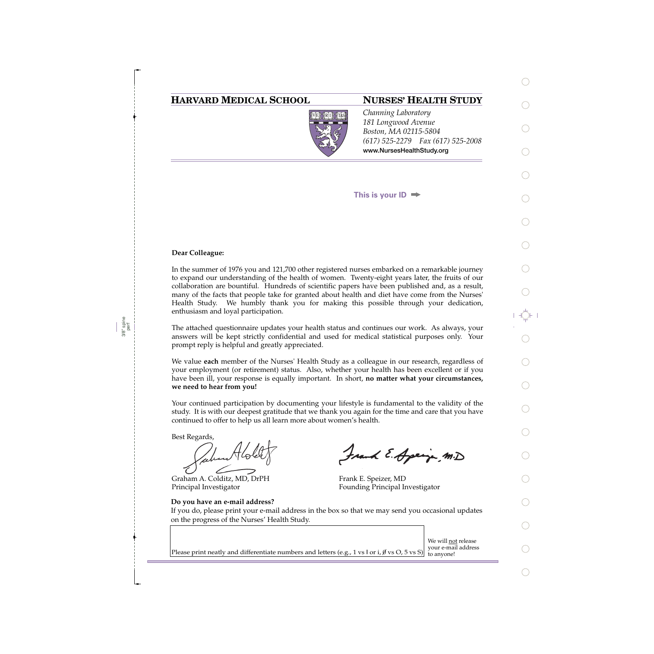## **HARVARD MEDICAL SCHOOL NURSES' HEALTH STUDY**



*Channing Laboratory 181 Longwood Avenue Boston, MA 02115-5804 (617) 525-2279 Fax (617) 525-2008*  **www.NursesHealthStudy.org** 

### **This is your ID**

#### **Dear Colleague:**

3/8" spine perf In the summer of 1976 you and 121,700 other registered nurses embarked on a remarkable journey to expand our understanding of the health of women. Twenty-eight years later, the fruits of our collaboration are bountiful. Hundreds of scientific papers have been published and, as a result, many of the facts that people take for granted about health and diet have come from the Nurses' Health Study. We humbly thank you for making this possible through your dedication, enthusiasm and loyal participation.

The attached questionnaire updates your health status and continues our work. As always, your answers will be kept strictly confidential and used for medical statistical purposes only. Your prompt reply is helpful and greatly appreciated.

We value **each** member of the Nurses' Health Study as a colleague in our research, regardless of your employment (or retirement) status. Also, whether your health has been excellent or if you have been ill, your response is equally important. In short, **no matter what your circumstances, we need to hear from you!**

Your continued participation by documenting your lifestyle is fundamental to the validity of the study. It is with our deepest gratitude that we thank you again for the time and care that you have continued to offer to help us all learn more about women's health.

Best Regards,

Graham A. Colditz, MD, DrPH Frank E. Speizer, MD

**Do you have an e-mail address?**

# Frank E. Apring m.D

Principal Investigator **Founding Principal Investigator** Founding Principal Investigator

If you do, please print your e-mail address in the box so that we may send you occasional updates on the progress of the Nurses' Health Study.

We will not release your e-mail address Please print neatly and differentiate numbers and letters (e.g., 1 vs I or i,  $\emptyset$  vs O, 5 vs S) to anyone!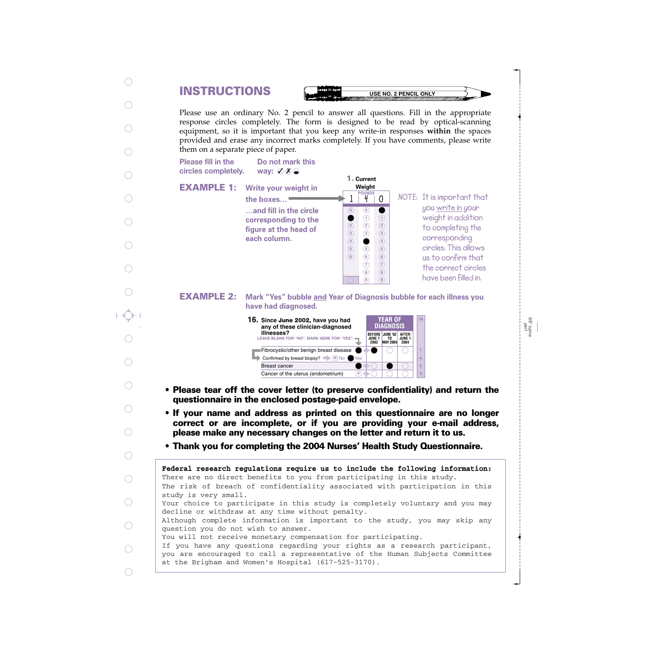# **INSTRUCTIONS**

USE NO. 2 PENCIL ONLY

**7 8 9**

**9**

**140**

Please use an ordinary No. 2 pencil to answer all questions. Fill in the appropriate response circles completely. The form is designed to be read by optical-scanning equipment, so it is important that you keep any write-in responses **within** the spaces provided and erase any incorrect marks completely. If you have comments, please write them on a separate piece of paper.

**Please fill in the** circles completely. **Do not mark this** way:  $\emptyset\emptyset\bigcirc$ 

**EXAMPLE 1: Write yo** 

| Write your weight in                                                                    |                                                                                                   | 1. Current<br>Weight                                                                                                      |
|-----------------------------------------------------------------------------------------|---------------------------------------------------------------------------------------------------|---------------------------------------------------------------------------------------------------------------------------|
| the boxes                                                                               |                                                                                                   | <b>POUNDS</b>                                                                                                             |
| and fill in the circle<br>corresponding to the<br>figure at the head of<br>each column. | $\overline{0}$<br>$\boxed{2}$<br>$\sqrt{3}$<br>$\overline{4}$<br>$\boxed{5}$<br>$\left( 6\right)$ | $\mathbf 0$<br>$\left( 1\right)$<br>$\left( 2\right)$<br>$\left(3\right)$<br>$\left(5\right)$<br>6<br>$\overline{7}$<br>8 |

 $\begin{array}{|c|c|c|c|}\hline \text{POUNDS} & \text{O} & \text{NOTE:} & \text{It is important that} \ \hline \end{array}$ **you write in your weight in addition to completing the corresponding circles. This allows us to confirm that the correct circles have been filled in.**

**EXAMPLE 2:** Mark "Yes" bubble and Year of Diagnosis bubble for each illness you **have had diagnosed.**



- **• Please tear off the cover letter (to preserve confidentiality) and return the questionnaire in the enclosed postage-paid envelope.**
- **• If your name and address as printed on this questionnaire are no longer correct or are incomplete, or if you are providing your e-mail address, please make any necessary changes on the letter and return it to us.**
- **• Thank you for completing the 2004 Nurses' Health Study Questionnaire.**

The risk of breach of confidentiality associated with participation in this study is very small. Your choice to participate in this study is completely voluntary and you may decline or withdraw at any time without penalty. Although complete information is important to the study, you may skip any question you do not wish to answer. You will not receive monetary compensation for participating. If you have any questions regarding your rights as a research participant, you are encouraged to call a representative of the Human Subjects Committee at the Brigham and Women's Hospital (617-525-3170). **Federal research regulations require us to include the following information:** There are no direct benefits to you from participating in this study.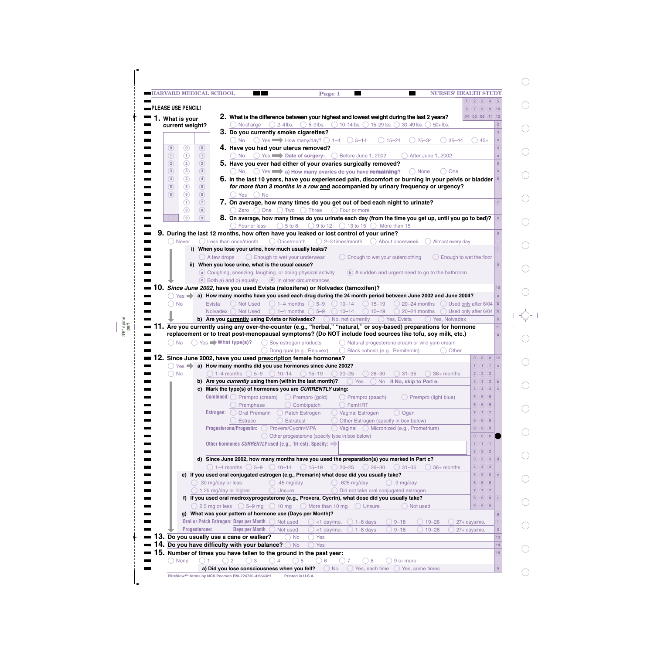|                                                            |                                |                                | <b>HARVARD MEDICAL SCHOOL</b>               | and the state                                                                                                                                                                           | Page 1                                                |                                                                                       | <b>NURSES' HEALTH STUDY</b>        |                                          |
|------------------------------------------------------------|--------------------------------|--------------------------------|---------------------------------------------|-----------------------------------------------------------------------------------------------------------------------------------------------------------------------------------------|-------------------------------------------------------|---------------------------------------------------------------------------------------|------------------------------------|------------------------------------------|
|                                                            |                                |                                |                                             |                                                                                                                                                                                         |                                                       |                                                                                       |                                    | 1)(2)(3)(4)(5)                           |
| <b>PLEASE USE PENCIL!</b>                                  |                                |                                |                                             |                                                                                                                                                                                         |                                                       |                                                                                       |                                    | $\left( 8\right)$<br>(9)(10)             |
| 1. What is your                                            |                                |                                |                                             | 2. What is the difference between your highest and lowest weight during the last 2 years?                                                                                               |                                                       |                                                                                       |                                    | 04 05 06 11 12                           |
| current weight?                                            |                                |                                | No change                                   | $\bigcirc$ 5-9 lbs.<br>$\bigcirc$ 2–4 lbs.                                                                                                                                              |                                                       | $\bigcirc$ 10–14 lbs. $\bigcirc$ 15–29 lbs. $\bigcirc$ 30–49 lbs. $\bigcirc$ 50+ lbs. |                                    |                                          |
|                                                            |                                |                                |                                             | 3. Do you currently smoke cigarettes?                                                                                                                                                   |                                                       |                                                                                       |                                    |                                          |
|                                                            |                                |                                | <b>No</b>                                   | $\circ$ Yes $\rightarrow$ How many/day? $\circ$ 1-4 $\circ$ 5-14                                                                                                                        |                                                       | $() 15 - 24$<br>$25 - 34$                                                             | $35 - 44$                          | $45+$                                    |
| $\circledcirc$                                             | $\circledcirc$                 | $\circledcirc$                 |                                             | 4. Have you had your uterus removed?                                                                                                                                                    |                                                       |                                                                                       |                                    |                                          |
| $\odot$                                                    | $\odot$                        | $\odot$                        | $()$ No                                     | ◯ Yes Date of surgery: ◯ Before June 1, 2002                                                                                                                                            |                                                       | After June 1, 2002                                                                    |                                    |                                          |
| $\circled{2}$                                              | $\odot$                        | $\circled{2}$                  |                                             | 5. Have you ever had either of your ovaries surgically removed?                                                                                                                         |                                                       |                                                                                       |                                    |                                          |
| $\circled{3}$<br>$\circled{4}$                             | $\circled{3}$<br>$\circled{4}$ | $\circled{3}$<br>$\circled{4}$ | ( ) No                                      | ◯ Yes → a) How many ovaries do you have remaining?                                                                                                                                      |                                                       | ◯ None                                                                                | One                                |                                          |
| $\circled{5}$                                              | $\circled{5}$                  | $\circled{5}$                  |                                             | 6. In the last 10 years, have you experienced pain, discomfort or burning in your pelvis or bladder<br>for more than 3 months in a row and accompanied by urinary frequency or urgency? |                                                       |                                                                                       |                                    |                                          |
| $\circledcirc$                                             | $\odot$                        | $\circledast$                  | Yes                                         | ) No                                                                                                                                                                                    |                                                       |                                                                                       |                                    |                                          |
|                                                            | $\circledR$                    | $\odot$                        |                                             | 7. On average, how many times do you get out of bed each night to urinate?                                                                                                              |                                                       |                                                                                       |                                    |                                          |
|                                                            | $\circled{8}$                  | $\circled{8}$                  | Zero $\bigcirc$ One                         | $\bigcirc$ Two<br>$\bigcirc$ Three                                                                                                                                                      | Four or more                                          |                                                                                       |                                    |                                          |
|                                                            | $\circledcirc$                 | $\circledcirc$                 |                                             | 8. On average, how many times do you urinate each day (from the time you get up, until you go to bed)?                                                                                  |                                                       |                                                                                       |                                    |                                          |
|                                                            |                                |                                | Four or less                                | $\bigcirc$ 9 to 12<br>$\bigcirc$ 5 to 8                                                                                                                                                 | $\bigcirc$ 13 to 15 $\bigcirc$ More than 15           |                                                                                       |                                    |                                          |
|                                                            |                                |                                |                                             | During the last 12 months, how often have you leaked or lost control of your urine?                                                                                                     |                                                       |                                                                                       |                                    |                                          |
| ◯ Never                                                    |                                |                                | ◯ Less than once/month                      | ◯ Once/month                                                                                                                                                                            | $\bigcirc$ 2-3 times/month                            | About once/week                                                                       | Almost every day                   |                                          |
|                                                            |                                |                                |                                             | i) When you lose your urine, how much usually leaks?                                                                                                                                    |                                                       |                                                                                       |                                    |                                          |
|                                                            |                                | ( ) A few drops                |                                             | $\bigcirc$ Enough to wet your underwear                                                                                                                                                 |                                                       | Enough to wet your outerclothing                                                      | $\bigcirc$ Enough to wet the floor |                                          |
|                                                            |                                |                                |                                             | ii) When you lose urine, what is the usual cause?                                                                                                                                       |                                                       |                                                                                       |                                    |                                          |
|                                                            |                                |                                |                                             | a Coughing, sneezing, laughing, or doing physical activity                                                                                                                              |                                                       | (b) A sudden and urgent need to go to the bathroom                                    |                                    |                                          |
|                                                            |                                |                                | c Both a) and b) equally                    | (d) In other circumstances                                                                                                                                                              |                                                       |                                                                                       |                                    |                                          |
|                                                            |                                |                                |                                             | Since June 2002, have you used Evista (raloxifene) or Nolvadex (tamoxifen)?                                                                                                             |                                                       |                                                                                       |                                    | 10 <sup>1</sup>                          |
|                                                            |                                |                                |                                             | $\bigcirc$ Yes $\blacktriangleright$ a) How many months have you used each drug during the 24 month period between June 2002 and June 2004?                                             |                                                       |                                                                                       |                                    |                                          |
| <b>No</b><br>$\left( \begin{array}{c} \end{array} \right)$ |                                | Evista                         | ◯ Not Used                                  | $\bigcirc$ 1–4 months $\bigcirc$ 5–9 $\bigcirc$ 10–14                                                                                                                                   | $\bigcirc$ 15-19                                      | ◯ 20-24 months ◯ Used only after 6/04                                                 |                                    | E                                        |
|                                                            |                                |                                | Nolvadex ◯ Not Used                         | $\bigcirc$ 1–4 months $\bigcirc$ 5–9 $\bigcirc$ 10–14                                                                                                                                   | $\bigcirc$ 15-19                                      | $\bigcirc$ 20–24 months $\bigcirc$ Used only after 6/04                               |                                    | N.                                       |
|                                                            |                                |                                |                                             | b) Are you currently using Evista or Nolvadex?<br>O No, not currently                                                                                                                   |                                                       | ◯ Yes, Evista                                                                         | Yes. Nolvadex                      |                                          |
|                                                            |                                |                                |                                             |                                                                                                                                                                                         |                                                       |                                                                                       |                                    |                                          |
|                                                            |                                |                                |                                             | Are you currently using any over-the-counter (e.g., "herbal," "natural," or soy-based) preparations for hormone                                                                         |                                                       |                                                                                       |                                    |                                          |
|                                                            |                                |                                |                                             | replacement or to treat post-menopausal symptoms? (Do NOT include food sources like tofu, soy milk, etc.)                                                                               |                                                       |                                                                                       |                                    |                                          |
| $()$ No                                                    |                                |                                | $\bigcirc$ Yes $\blacksquare$ What type(s)? | ◯ Soy estrogen products                                                                                                                                                                 |                                                       | ◯ Natural progesterone cream or wild yam cream                                        |                                    |                                          |
|                                                            |                                |                                |                                             | ◯ Dong quai (e.g., Rejuvex)                                                                                                                                                             | $(\ )$                                                | Black cohosh (e.g., Remifemin)                                                        | Other                              |                                          |
|                                                            |                                |                                |                                             | 12. Since June 2002, have you used prescription female hormones?                                                                                                                        |                                                       |                                                                                       |                                    | (0)(0)(0)(12)                            |
|                                                            |                                |                                |                                             | $\bigcirc$ Yes $\blacksquare$ a) How many months did you use hormones since June 2002?                                                                                                  |                                                       |                                                                                       |                                    | 1) (1) (1)                               |
| <b>No</b>                                                  |                                |                                |                                             | $\bigcirc$ 1–4 months $\bigcirc$ 5–9 $\bigcirc$ 10–14 $\bigcirc$ 15–19                                                                                                                  | $\bigcirc$ 20-25<br>$26 - 30$                         | $\bigcirc$ 31-35                                                                      | $\bigcirc$ 36+ months              | 2)(2)(2)                                 |
|                                                            |                                |                                |                                             | b) Are you currently using them (within the last month)?                                                                                                                                | $\bigcirc$ Yes                                        | No If No, skip to Part e.                                                             |                                    | 3<br>(3)(3)                              |
|                                                            |                                |                                |                                             | c) Mark the type(s) of hormones you are CURRENTLY using:                                                                                                                                |                                                       |                                                                                       |                                    | (4)(4)<br>$\overline{4}$<br>$\mathbf{C}$ |
|                                                            |                                |                                | <b>Combined:</b> $\bigcirc$ Prempro (cream) | ◯ Prempro (gold)                                                                                                                                                                        | ◯ Prempro (peach)                                     | ◯ Prempro (light blue)                                                                |                                    | $\overline{5}$<br>(5)(5)                 |
|                                                            |                                |                                | Premphase                                   | ◯ Combipatch                                                                                                                                                                            | ◯ FemHRT                                              |                                                                                       |                                    | (6)(6)<br>6                              |
|                                                            |                                | Estrogen:                      | <b>Oral Premarin</b>                        | Patch Estrogen                                                                                                                                                                          | ◯ Vaginal Estrogen                                    | $()$ Ogen                                                                             |                                    | 7)(7)(7)                                 |
|                                                            |                                |                                | Estrace                                     | <b>Estratest</b>                                                                                                                                                                        |                                                       | Other Estrogen (specify in box below)                                                 |                                    | $\bf{8}$<br>(8)(8)                       |
|                                                            |                                |                                | Progesterone/Progestin:                     | ◯ Provera/Cycrin/MPA                                                                                                                                                                    |                                                       | $\bigcirc$ Vaginal $\bigcirc$ Micronized (e.g., Prometrium)                           |                                    | (9)(9)<br>$\overline{9}$                 |
|                                                            |                                |                                |                                             | O Other progesterone (specify type in box below)                                                                                                                                        |                                                       |                                                                                       |                                    | (0)(0)(0)                                |
|                                                            |                                |                                |                                             | Other hormones CURRENTLY used (e.g., Tri-est), Specify:                                                                                                                                 |                                                       |                                                                                       |                                    | 1) (1) (1)                               |
|                                                            |                                |                                |                                             |                                                                                                                                                                                         |                                                       |                                                                                       |                                    | 2)(2)(2)                                 |
|                                                            |                                |                                |                                             | d) Since June 2002, how many months have you used the preparation(s) you marked in Part c?                                                                                              |                                                       |                                                                                       |                                    | $\sqrt{3}$<br>(3)(3)                     |
|                                                            |                                |                                |                                             | $\bigcirc$ 1–4 months $\bigcirc$ 5–9 $\bigcirc$ 10–14 $\bigcirc$ 15–19                                                                                                                  | $\bigcirc$ 20-25 $\bigcirc$ 26-30                     | $\bigcirc$ 31-35                                                                      | $\bigcirc$ 36+ months              | (4)(4)<br>$\overline{4}$                 |
|                                                            |                                |                                |                                             | e) If you used oral conjugated estrogen (e.g., Premarin) what dose did you usually take?                                                                                                |                                                       |                                                                                       |                                    | (5)(5)<br>5 <sub>5</sub><br>$\mathbf{e}$ |
|                                                            |                                |                                | $\bigcirc$ .30 mg/day or less               | $\bigcirc$ .45 mg/day                                                                                                                                                                   | $\bigcirc$ .625 mg/day                                | $()$ .9 mg/day                                                                        |                                    | (6)(6)<br>$6\phantom{1}$                 |
|                                                            |                                |                                | $\bigcirc$ 1.25 mg/day or higher            | $\bigcirc$ Unsure                                                                                                                                                                       | Did not take oral conjugated estrogen                 |                                                                                       |                                    | 7)(7)(7)                                 |
|                                                            |                                |                                |                                             | f) If you used oral medroxyprogesterone (e.g., Provera, Cycrin), what dose did you usually take?                                                                                        |                                                       |                                                                                       |                                    | 8)(8)(8)                                 |
|                                                            |                                |                                |                                             | $\bigcirc$ 2.5 mg or less $\bigcirc$ 5–9 mg $\bigcirc$ 10 mg $\bigcirc$ More than 10 mg $\bigcirc$ Unsure                                                                               |                                                       | () Not used                                                                           |                                    | 9)(9)(9)                                 |
|                                                            |                                |                                |                                             | g) What was your pattern of hormone use (Days per Month)?                                                                                                                               |                                                       |                                                                                       |                                    |                                          |
|                                                            |                                |                                |                                             | Oral or Patch Estrogen: Days per Month  O Not used                                                                                                                                      | $\bigcirc$ <1 day/mo.<br>$\bigcirc$ 1-8 days          | $\bigcirc$ 9-18<br>$\bigcirc$ 19-26                                                   | 27+ days/mo.                       |                                          |
|                                                            |                                | <b>Progesterone:</b>           | <b>Days per Month</b>                       | Not used                                                                                                                                                                                | $\ge$ <1 day/mo.<br>$\left( 1-8 \text{ days} \right)$ | $9 - 18$<br>$19 - 26$<br>$\Box$                                                       | $27+ days/mol$ .                   |                                          |
|                                                            |                                |                                | 3. Do you usually use a cane or walker?     | Yes<br>∴) No                                                                                                                                                                            |                                                       |                                                                                       |                                    | 13                                       |
|                                                            |                                |                                |                                             | 4. Do you have difficulty with your balance? $\bigcirc$ No<br>Yes                                                                                                                       |                                                       |                                                                                       |                                    | 14                                       |
| ◯ None                                                     |                                | ( ) 1                          | $\bigcirc$ 3<br>$\bigcirc$ 2                | 5. Number of times you have fallen to the ground in the past year:<br>$\bigcirc$ 5<br>()4<br>○ 6                                                                                        | $\bigcirc$ 8<br>( ) 7                                 | 9 or more                                                                             |                                    | 15                                       |

3/8" spine perf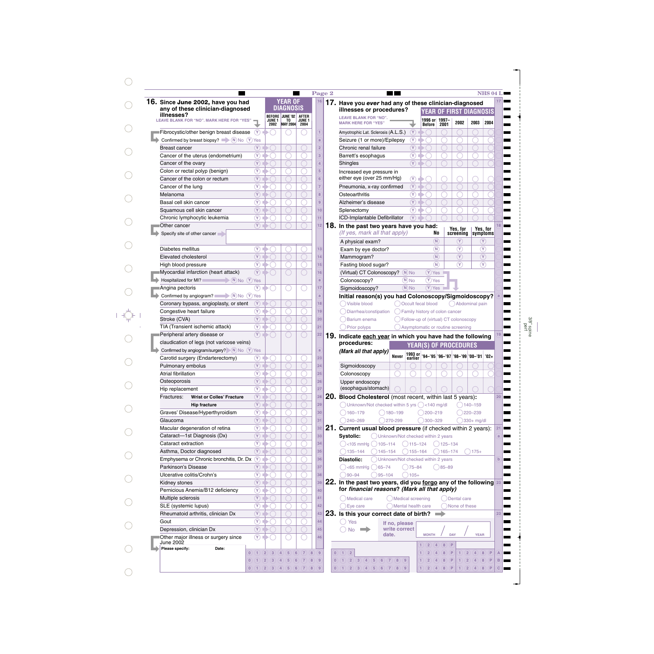| 16. Since June 2002, have you had                              |                                |                                      | <b>YEAR OF</b>                  |                   | Page 2<br>16        |                                                                                    |                   |                                      |                                             |                |                                                        |              |                                                                   | NHS $04 L$<br>17 |
|----------------------------------------------------------------|--------------------------------|--------------------------------------|---------------------------------|-------------------|---------------------|------------------------------------------------------------------------------------|-------------------|--------------------------------------|---------------------------------------------|----------------|--------------------------------------------------------|--------------|-------------------------------------------------------------------|------------------|
| any of these clinician-diagnosed                               |                                |                                      | <b>DIAGNOSIS</b>                |                   |                     | 17. Have you ever had any of these clinician-diagnosed<br>illnesses or procedures? |                   |                                      | <b>YEAR OF FIRST DIAGNOSIS</b>              |                |                                                        |              |                                                                   |                  |
| illnesses?<br><b>LEAVE BLANK FOR "NO", MARK HERE FOR "YES"</b> |                                | <b>JUNE 1</b>                        | BEFORE JUNE '02 AFTER<br>TO     | JUNE <sub>1</sub> |                     | <b>LEAVE BLANK FOR "NO".</b><br><b>MARK HERE FOR "YES"</b>                         |                   |                                      | 1996 or 1997-                               |                | 2002                                                   | 2003         | 2004                                                              |                  |
|                                                                |                                | 2002                                 | MAY 2004 2004                   |                   |                     |                                                                                    |                   |                                      | Before                                      | 2001           |                                                        |              |                                                                   |                  |
| Fibrocystic/other benign breast disease                        | (Y)                            |                                      |                                 |                   |                     | Amyotrophic Lat. Sclerosis (A.L.S.)                                                |                   | (Y)                                  |                                             |                |                                                        |              |                                                                   |                  |
| Confirmed by breast biopsy? $\blacksquare$ (N) No (Y) Yes      |                                |                                      |                                 |                   | $\mathbf{a}$        | Seizure (1 or more)/Epilepsy                                                       |                   | Y)                                   |                                             |                |                                                        |              |                                                                   |                  |
| <b>Breast cancer</b>                                           | (Y)                            |                                      |                                 |                   | $\overline{2}$      | Chronic renal failure                                                              |                   | $\left( \widehat{\mathbf{Y}}\right)$ |                                             |                |                                                        |              |                                                                   |                  |
| Cancer of the uterus (endometrium)                             | $\circledcirc$                 |                                      |                                 |                   | $\overline{3}$      | Barrett's esophagus                                                                |                   | $(\lambda)$                          |                                             |                |                                                        |              |                                                                   |                  |
| Cancer of the ovary                                            | $\mathcal{N}$                  |                                      |                                 |                   | $\overline{4}$      | Shingles                                                                           |                   | $(\gamma)$                           |                                             |                |                                                        |              |                                                                   |                  |
| Colon or rectal polyp (benign)                                 | $\circledcirc$                 |                                      |                                 |                   | 5 <sup>1</sup>      | Increased eye pressure in<br>either eye (over 25 mm/Hg)                            |                   |                                      |                                             |                |                                                        |              |                                                                   |                  |
| Cancer of the colon or rectum                                  | $\mathcal{F}$                  |                                      |                                 |                   | 6 <sup>1</sup>      |                                                                                    |                   | $\circledcirc$                       |                                             |                |                                                        |              |                                                                   |                  |
| Cancer of the lung                                             | $\circledcirc$                 |                                      |                                 |                   | $\overline{7}$      | Pneumonia, x-ray confirmed                                                         |                   | $\left( Y\right)$                    |                                             |                |                                                        |              |                                                                   |                  |
| Melanoma                                                       | $\circled{r}$                  |                                      |                                 |                   | $\bf{8}$            | Osteoarthritis                                                                     |                   | $\circledcirc$<br>$\circledcirc$     |                                             |                |                                                        |              |                                                                   |                  |
| Basal cell skin cancer                                         | $\circledR$                    |                                      |                                 |                   | 9                   | Alzheimer's disease                                                                |                   |                                      |                                             |                |                                                        |              |                                                                   |                  |
| Squamous cell skin cancer                                      | $\circled{r}$                  |                                      |                                 |                   | 10                  | Splenectomy                                                                        |                   | $(\lambda)$                          |                                             |                |                                                        |              |                                                                   |                  |
| Chronic lymphocytic leukemia                                   | $\circled{r}$<br>$\mathcal{N}$ |                                      |                                 |                   | 11)                 | ICD-Implantable Defibrillator                                                      |                   | (Y)                                  |                                             |                |                                                        |              |                                                                   |                  |
| Other cancer                                                   |                                |                                      |                                 |                   | 12                  | 18. In the past two years have you had:<br>(If yes, mark all that apply)           |                   |                                      |                                             |                | Yes, for                                               |              | Yes, for                                                          | 18               |
| Specify site of other cancer                                   |                                |                                      |                                 |                   |                     |                                                                                    |                   |                                      | No                                          |                | screening symptoms                                     |              |                                                                   |                  |
| Diabetes mellitus                                              |                                |                                      |                                 |                   |                     | A physical exam?                                                                   |                   |                                      | (N)                                         |                | $(\mathsf{Y})$<br>$\left( \widehat{\mathsf{Y}}\right)$ |              | $(\mathsf{Y})$<br>$\left( \widehat{\mathbf{Y}}_{\epsilon}\right)$ |                  |
|                                                                | $(\Upsilon)$<br>(Y)            |                                      |                                 |                   | 13                  | Exam by eye doctor?                                                                |                   |                                      | (N)<br>(N)                                  |                | $\left( \widehat{\mathbf{Y}}\right)$                   |              | $\circled{r}$                                                     |                  |
| Elevated cholesterol<br>High blood pressure                    | $\circled{r}$                  |                                      |                                 |                   | 14<br>15            | Mammogram?                                                                         |                   |                                      | $(\mathsf{N})$                              |                | $\left( \widehat{\mathbf{Y}}\right)$                   |              | $\circledR$                                                       |                  |
| Myocardial infarction (heart attack)                           | $\mathcal{F}$                  |                                      |                                 |                   | 16                  | Fasting blood sugar?<br>(Virtual) CT Colonoscopy? (N No                            |                   |                                      | $(Y)$ Yes $\blacksquare$                    |                |                                                        |              |                                                                   |                  |
| Hospitalized for MI? $N \wedge N$ N $(9)$ Yes                  |                                |                                      |                                 |                   | a                   | Colonoscopy?                                                                       |                   | $(N)$ No                             | $(Y)$ Yes                                   |                |                                                        |              |                                                                   |                  |
| Angina pectoris                                                | $(\lambda)$                    |                                      |                                 |                   | 17                  | Sigmoidoscopy?                                                                     |                   | $(N)$ No                             | $(Y)$ Yes $\blacksquare$                    |                |                                                        |              |                                                                   |                  |
| Confirmed by angiogram? $N_{N0}$ (Y) Yes                       |                                |                                      |                                 |                   | a                   | Initial reason(s) you had Colonoscopy/Sigmoidoscopy?                               |                   |                                      |                                             |                |                                                        |              |                                                                   |                  |
| Coronary bypass, angioplasty, or stent                         | $\left( Y\right)$              |                                      |                                 |                   | 18                  | Visible blood                                                                      |                   |                                      | Occult fecal blood                          |                | () Abdominal pain                                      |              |                                                                   |                  |
| Congestive heart failure                                       | $\circled{r}$                  |                                      |                                 |                   | 19                  | Diarrhea/constipation                                                              |                   |                                      | Family history of colon cancer              |                |                                                        |              |                                                                   |                  |
| Stroke (CVA)                                                   | $\mathcal{F}$                  |                                      |                                 |                   | 20                  | Barium enema                                                                       |                   |                                      | Follow-up of (virtual) CT colonoscopy       |                |                                                        |              |                                                                   |                  |
| TIA (Transient ischemic attack)                                | $\circled{r}$                  |                                      |                                 |                   | $\left  21 \right $ | Prior polyps                                                                       |                   |                                      | Asymptomatic or routine screening           |                |                                                        |              |                                                                   |                  |
| Peripheral artery disease or                                   | $(\gamma)$                     |                                      |                                 |                   | 22                  | 19. Indicate each year in which you have had the following                         |                   |                                      |                                             |                |                                                        |              |                                                                   | 19               |
| claudication of legs (not varicose veins)                      |                                |                                      |                                 |                   |                     | procedures:                                                                        |                   |                                      |                                             |                |                                                        |              |                                                                   |                  |
| Confirmed by angiogram/surgery? (N) No (Y) Yes                 |                                |                                      |                                 |                   | a                   | (Mark all that apply)                                                              |                   |                                      | <b>YEAR(S) OF PROCEDURES</b>                |                |                                                        |              |                                                                   |                  |
| Carotid surgery (Endarterectomy)                               | $(\mathsf{Y})$                 |                                      |                                 |                   | 23                  |                                                                                    | Never             |                                      | 1993 or 94-'95 '96-'97 '98-'99 '00-'01 '02+ |                |                                                        |              |                                                                   |                  |
| Pulmonary embolus                                              | $\left( \mathrm{V}\right)$     |                                      |                                 |                   | 24                  | Sigmoidoscopy                                                                      |                   |                                      |                                             |                |                                                        |              |                                                                   |                  |
| Atrial fibrillation                                            | $\circledcirc$                 |                                      |                                 |                   | 25                  | Colonoscopy                                                                        |                   |                                      |                                             |                |                                                        |              |                                                                   |                  |
| Osteoporosis                                                   | $\circled{r}$                  |                                      |                                 |                   | 26                  | Upper endoscopy                                                                    |                   |                                      |                                             |                |                                                        |              |                                                                   |                  |
| Hip replacement                                                | $\circledR$                    |                                      |                                 |                   | 27                  | (esophagus/stomach)                                                                |                   |                                      |                                             |                |                                                        |              |                                                                   |                  |
| Fractures:<br><b>Wrist or Colles' Fracture</b>                 | $\circled{r}$                  |                                      |                                 |                   | 28                  | 20. Blood Cholesterol (most recent, within last 5 years):                          |                   |                                      |                                             |                |                                                        |              |                                                                   | 20               |
| <b>Hip fracture</b>                                            | $\circled{r}$                  |                                      |                                 |                   | 29                  | ◯ Unknown/Not checked within 5 yrs ◯ <140 mg/dl                                    |                   |                                      |                                             |                |                                                        | $)140 - 159$ |                                                                   |                  |
| Graves' Disease/Hyperthyroidism                                | $\circledcirc$                 |                                      |                                 |                   | 30                  | $)160 - 179$                                                                       | $( )180 - 199$    |                                      | $200 - 219$                                 |                |                                                        | 220-239      |                                                                   |                  |
| Glaucoma                                                       | $\circled{r}$                  |                                      |                                 |                   | $ 31\rangle$        | $240 - 269$                                                                        | $270 - 299$       |                                      | $)300 - 329$                                |                |                                                        | 330+ mg/dl   |                                                                   |                  |
| Macular degeneration of retina                                 | $\circled{r}$                  |                                      |                                 |                   | 32                  | 21. Current usual blood pressure (if checked within 2 years):                      |                   |                                      |                                             |                |                                                        |              |                                                                   | (21)             |
| Cataract-1st Diagnosis (Dx)                                    | $\circled{r}$                  |                                      |                                 |                   | 33                  | Unknown/Not checked within 2 years<br>Systolic:                                    |                   |                                      |                                             |                |                                                        |              |                                                                   | a                |
| Cataract extraction                                            | $\circledcirc$                 |                                      |                                 |                   | 34                  | $\bigcirc$ <105 mmHg $\bigcirc$ 105-114                                            |                   | $( )115 - 124$                       |                                             | $( )125 - 134$ |                                                        |              |                                                                   |                  |
| Asthma, Doctor diagnosed                                       | $\circled{r}$                  |                                      |                                 |                   | 35                  | 135-144<br>$)145 - 154$                                                            |                   | 155-164                              |                                             | 165-174        |                                                        | $)175+$      |                                                                   |                  |
| Emphysema or Chronic bronchitis, Dr. Dx (Y)                    |                                |                                      |                                 |                   | 36                  | Diastolic:                                                                         |                   |                                      | Unknown/Not checked within 2 years          |                |                                                        |              |                                                                   | $\mathbf{b}$     |
| Parkinson's Disease                                            | $\circled{r}$                  |                                      |                                 |                   | 37                  | $\bigcirc$ <65 mmHg $\bigcirc$ 65-74                                               |                   | $()75 - 84$                          |                                             | $( )85 - 89$   |                                                        |              |                                                                   |                  |
| Ulcerative colitis/Crohn's                                     | $\circled{r}$                  |                                      |                                 |                   | 38                  | $)90 - 94$<br>$\bigcirc$ 95-104                                                    |                   | $()105+$                             |                                             |                |                                                        |              |                                                                   |                  |
| Kidney stones                                                  | $\circled{r}$                  |                                      |                                 |                   | 39                  | 22. In the past two years, did you forgo any of the following 23                   |                   |                                      |                                             |                |                                                        |              |                                                                   |                  |
| Pernicious Anemia/B12 deficiency                               | $\circledcirc$                 |                                      |                                 |                   | (40)                | for financial reasons? (Mark all that apply)                                       |                   |                                      |                                             |                |                                                        |              |                                                                   |                  |
| Multiple sclerosis                                             | $\circled{r}$                  |                                      |                                 |                   | (41)                | Medical care                                                                       | Medical screening |                                      |                                             |                | ( )Dental care                                         |              |                                                                   |                  |
| SLE (systemic lupus)                                           | $\circled{r}$                  |                                      |                                 |                   | 42                  | Eye care                                                                           |                   | Mental health care                   |                                             |                | ) None of these                                        |              |                                                                   |                  |
| Rheumatoid arthritis, clinician Dx                             | $\circled{r}$                  |                                      |                                 |                   | 43                  | 23. Is this your correct date of birth? $\Rightarrow$                              |                   |                                      |                                             |                |                                                        |              |                                                                   | 23               |
| Gout                                                           | $\circled{r}$                  |                                      |                                 |                   | (44)                | $\bigcirc$ Yes                                                                     | If no, please     |                                      |                                             |                |                                                        |              |                                                                   |                  |
| Depression, clinician Dx                                       | $\circled{r}$                  |                                      |                                 |                   | 45                  | <b>No</b><br>$\blacksquare$                                                        | write correct     |                                      |                                             |                |                                                        |              |                                                                   |                  |
| Other major illness or surgery since                           | $\circ$                        |                                      |                                 |                   | 46                  | date.                                                                              |                   |                                      | <b>MONTH</b>                                |                | DAY                                                    | <b>YEAR</b>  |                                                                   |                  |
| June 2002<br>Please specify:<br>Date:                          |                                |                                      |                                 |                   |                     |                                                                                    |                   |                                      | (2)<br>(4)                                  | (8)<br>(P      |                                                        |              |                                                                   |                  |
|                                                                |                                | $\overline{2}$<br>$\left( 3 \right)$ | (5)(6)(7)<br>$\left  4 \right $ |                   | (8)(9)              | 0)(1)<br>$\left( 2\right)$                                                         |                   |                                      | $\overline{2}$<br>$\Delta$                  | 8              | P<br>1)                                                | (2)<br>(4)   | $\left( 8\right)$<br>P                                            | $\mathsf{A}$     |
|                                                                |                                |                                      |                                 |                   |                     |                                                                                    |                   |                                      |                                             |                |                                                        |              |                                                                   |                  |

 $\bigcirc$ 

 $\bigcirc$ 

 $\bigcirc$ 

 $\bigcirc$ 

 $\bigcirc$ 

 $\bigcirc$ 

 $\bigcirc$ 

 $\bigcirc$ 

 $\bigcirc$ 

 $\bigcirc$ 

 $\begin{picture}(20,5) \put(0,0){\line(1,0){155}} \put(15,0){\line(1,0){155}} \put(15,0){\line(1,0){155}} \put(15,0){\line(1,0){155}} \put(15,0){\line(1,0){155}} \put(15,0){\line(1,0){155}} \put(15,0){\line(1,0){155}} \put(15,0){\line(1,0){155}} \put(15,0){\line(1,0){155}} \put(15,0){\line(1,0){155}} \put(15,0){\line(1,0){155}} \put$ 

 $\begin{matrix} 1 \\ 0 \\ 0 \end{matrix}$ 

 $\bigcirc$ 

 $\bigcirc$ 

 $\bigcirc$ 

 $\bigcirc$ 

 $\bigcirc$ 

 $\bigcirc$ 

 $\bigcirc$ 

 $\bigcirc$ 

 $\bigcirc$ 

3/8" spine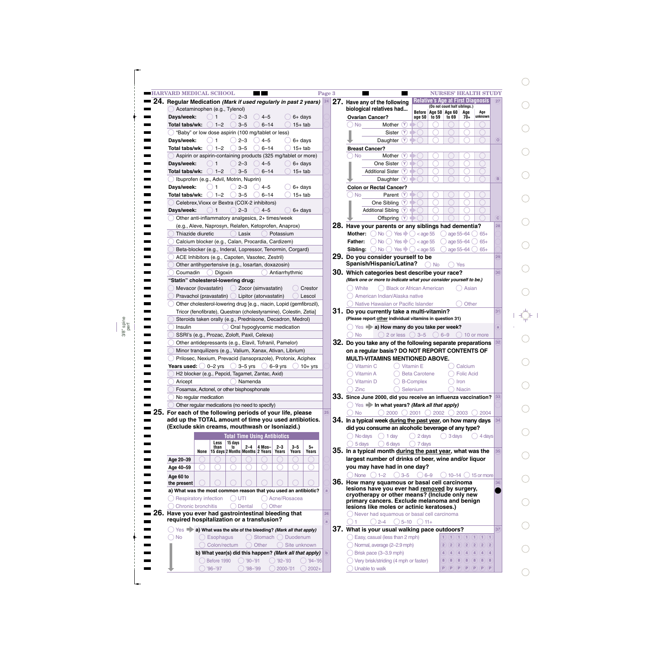|                                                                                                    |                   | <b>HARVARD MEDICAL SCHOOL</b>                              |                                                |           |                                 |           |                                                                        | Page 3      |                 |                                                                                       |                   |           |                                                           | <b>NURSES' HEALTH STUD</b>               |                                                    |                      |
|----------------------------------------------------------------------------------------------------|-------------------|------------------------------------------------------------|------------------------------------------------|-----------|---------------------------------|-----------|------------------------------------------------------------------------|-------------|-----------------|---------------------------------------------------------------------------------------|-------------------|-----------|-----------------------------------------------------------|------------------------------------------|----------------------------------------------------|----------------------|
| 24. Regular Medication (Mark if used regularly in past 2 years)                                    |                   |                                                            |                                                |           |                                 |           |                                                                        |             | 27.<br>24       | Have any of the following                                                             |                   |           |                                                           | <b>Relative's Age at First Diagnosis</b> |                                                    | 27                   |
| Acetaminophen (e.g., Tylenol)                                                                      |                   |                                                            |                                                |           |                                 |           |                                                                        |             |                 | biological relatives had                                                              |                   |           | (Do not count half siblings.)<br>Before   Age 50   Age 60 | Age                                      | Age                                                |                      |
| Days/week:                                                                                         |                   |                                                            |                                                | $2 - 3$   | $4 - 5$                         |           | $6+$ days                                                              |             |                 | <b>Ovarian Cancer?</b>                                                                | age 50            | to 59     | to 69                                                     | 70+                                      | unknown                                            |                      |
| Total tabs/wk:                                                                                     |                   | $1 - 2$                                                    |                                                | $3 - 5$   | $6 - 14$                        |           | $15+$ tab                                                              |             |                 | <b>No</b><br>Mother<br>(Y)                                                            |                   |           |                                                           |                                          |                                                    |                      |
|                                                                                                    |                   | "Baby" or low dose aspirin (100 mg/tablet or less)         |                                                |           |                                 |           |                                                                        |             |                 | Sister $(Y)$                                                                          |                   |           |                                                           |                                          |                                                    |                      |
| Days/week:                                                                                         |                   |                                                            |                                                | $2 - 3$   | $4 - 5$                         |           | $6+$ days                                                              |             |                 | Daughter $(Y)$                                                                        |                   |           |                                                           |                                          |                                                    |                      |
|                                                                                                    |                   |                                                            |                                                |           |                                 |           |                                                                        |             |                 |                                                                                       |                   |           |                                                           |                                          |                                                    | $\circ$              |
| Total tabs/wk:                                                                                     |                   | $1 - 2$                                                    |                                                | $3 - 5$   | $6 - 14$                        |           | $15+$ tab                                                              |             |                 | <b>Breast Cancer?</b>                                                                 |                   |           |                                                           |                                          |                                                    |                      |
|                                                                                                    |                   |                                                            |                                                |           |                                 |           | Aspirin or aspirin-containing products (325 mg/tablet or more)         |             |                 | Mother<br><b>No</b><br>$(\mathsf{Y})$                                                 |                   |           |                                                           |                                          |                                                    |                      |
| Days/week:                                                                                         |                   |                                                            |                                                | $2 - 3$   | $4 - 5$                         |           | $6+$ days                                                              |             |                 | One Sister $(Y)$                                                                      |                   |           |                                                           |                                          |                                                    |                      |
| Total tabs/wk:                                                                                     |                   | $1 - 2$                                                    |                                                | $3 - 5$   | $6 - 14$                        |           | $15+$ tab                                                              |             |                 | Additional Sister (Y)                                                                 |                   |           |                                                           |                                          |                                                    |                      |
| Ibuprofen (e.g., Advil, Motrin, Nuprin)                                                            |                   |                                                            |                                                |           |                                 |           |                                                                        |             |                 | Daughter $(y)$                                                                        |                   |           |                                                           |                                          |                                                    |                      |
| Days/week:                                                                                         |                   |                                                            |                                                | $2 - 3$   | $4 - 5$                         |           | 6+ days                                                                |             |                 | <b>Colon or Rectal Cancer?</b>                                                        |                   |           |                                                           |                                          |                                                    |                      |
| Total tabs/wk:                                                                                     |                   |                                                            |                                                | $3 - 5$   |                                 |           |                                                                        |             |                 |                                                                                       |                   |           |                                                           |                                          |                                                    |                      |
|                                                                                                    |                   | $1 - 2$                                                    |                                                |           | $6 - 14$                        |           | $15+$ tab                                                              |             |                 | Parent $(Y)$<br><b>No</b>                                                             |                   |           |                                                           |                                          |                                                    |                      |
|                                                                                                    |                   | Celebrex, Vioxx or Bextra (COX-2 inhibitors)               |                                                |           |                                 |           |                                                                        |             |                 | One Sibling V                                                                         |                   |           |                                                           |                                          |                                                    |                      |
| Days/week:                                                                                         |                   | ()1                                                        |                                                | $2 - 3$   | $4 - 5$                         |           | $6+$ days                                                              |             |                 | Additional Sibling V C                                                                |                   |           |                                                           |                                          |                                                    |                      |
|                                                                                                    |                   | Other anti-inflammatory analgesics, 2+ times/week          |                                                |           |                                 |           |                                                                        |             |                 | Offspring $\vee$                                                                      |                   |           |                                                           |                                          |                                                    |                      |
|                                                                                                    |                   | (e.g., Aleve, Naprosyn, Relafen, Ketoprofen, Anaprox)      |                                                |           |                                 |           |                                                                        |             |                 | 28. Have your parents or any siblings had dementia?                                   |                   |           |                                                           |                                          |                                                    | 28                   |
|                                                                                                    | Thiazide diuretic |                                                            |                                                | Lasix     |                                 | Potassium |                                                                        |             |                 | <b>Mother:</b> $\bigcirc$ No $\bigcirc$ Yes $\bigcirc$ < age 55                       |                   |           |                                                           | $\bigcirc$ age 55-64 $\bigcirc$ 65+      |                                                    |                      |
|                                                                                                    |                   |                                                            |                                                |           |                                 |           |                                                                        |             |                 |                                                                                       |                   |           |                                                           |                                          |                                                    |                      |
|                                                                                                    |                   | Calcium blocker (e.g., Calan, Procardia, Cardizem)         |                                                |           |                                 |           |                                                                        |             |                 | <b>Father:</b> $\bigcirc$ No $\bigcirc$ Yes $\bigcirc$ < age 55                       |                   |           |                                                           | $\bigcirc$ age 55-64 $\bigcirc$ 65+      |                                                    |                      |
|                                                                                                    |                   |                                                            |                                                |           |                                 |           | Beta-blocker (e.g., Inderal, Lopressor, Tenormin, Corgard)             |             |                 | <b>Sibling:</b> $\bigcirc$ No $\bigcirc$ Yes $\bigcirc$ < age 55                      |                   |           |                                                           | age $55-64$ $\circ$ 65+                  |                                                    |                      |
|                                                                                                    |                   | ACE Inhibitors (e.g., Capoten, Vasotec, Zestril)           |                                                |           |                                 |           |                                                                        |             |                 | 29. Do you consider yourself to be                                                    |                   |           |                                                           |                                          |                                                    | (29)                 |
|                                                                                                    |                   | Other antihypertensive (e.g., losartan, doxazosin)         |                                                |           |                                 |           |                                                                        |             |                 | Spanish/Hispanic/Latina?                                                              |                   | <b>No</b> |                                                           | Yes                                      |                                                    |                      |
| Coumadin                                                                                           |                   | Digoxin                                                    |                                                |           |                                 |           | Antiarrhythmic                                                         |             |                 | 30. Which categories best describe your race?                                         |                   |           |                                                           |                                          |                                                    | (30)                 |
| "Statin" cholesterol-lowering drug:                                                                |                   |                                                            |                                                |           |                                 |           |                                                                        |             |                 | (Mark one or more to indicate what your consider yourself to be.)                     |                   |           |                                                           |                                          |                                                    |                      |
|                                                                                                    |                   | Mevacor (Iovastatin) 2 Zocor (simvastatin)                 |                                                |           |                                 |           | Crestor                                                                |             |                 | White<br>() Black or African American                                                 |                   |           |                                                           | Asian                                    |                                                    |                      |
|                                                                                                    |                   |                                                            |                                                |           |                                 |           |                                                                        |             |                 |                                                                                       |                   |           |                                                           |                                          |                                                    |                      |
|                                                                                                    |                   | Pravachol (pravastatin) U Lipitor (atorvastatin)           |                                                |           |                                 |           | Lescol                                                                 |             |                 | American Indian/Alaska native                                                         |                   |           |                                                           |                                          |                                                    |                      |
|                                                                                                    |                   |                                                            |                                                |           |                                 |           | Other cholesterol-lowering drug [e.g., niacin, Lopid (gemfibrozil),    |             |                 | Native Hawaiian or Pacific Islander                                                   |                   |           |                                                           | Other                                    |                                                    |                      |
|                                                                                                    |                   |                                                            |                                                |           |                                 |           | Tricor (fenofibrate), Questran (cholestyramine), Colestin, Zetia]      |             |                 | 31. Do you currently take a multi-vitamin?                                            |                   |           |                                                           |                                          |                                                    | (31)                 |
|                                                                                                    |                   |                                                            |                                                |           |                                 |           | Steroids taken orally (e.g., Prednisone, Decadron, Medrol)             |             |                 | (Please report other individual vitamins in question 31)                              |                   |           |                                                           |                                          |                                                    |                      |
| Insulin                                                                                            |                   |                                                            |                                                |           | Oral hypoglycemic medication    |           |                                                                        |             |                 | Yes <b>a</b> ) How many do you take per week?                                         |                   |           |                                                           |                                          |                                                    |                      |
|                                                                                                    |                   | SSRI's (e.g., Prozac, Zoloft, Paxil, Celexa)               |                                                |           |                                 |           |                                                                        |             |                 | $\bigcirc$ 2 or less $\bigcirc$ 3–5 $\bigcirc$ 6–9 $\bigcirc$ 10 or more<br><b>No</b> |                   |           |                                                           |                                          |                                                    |                      |
|                                                                                                    |                   | Other antidepressants (e.g., Elavil, Tofranil, Pamelor)    |                                                |           |                                 |           |                                                                        |             |                 | 32. Do you take any of the following separate preparations                            |                   |           |                                                           |                                          |                                                    | (32)                 |
|                                                                                                    |                   |                                                            |                                                |           |                                 |           |                                                                        |             |                 |                                                                                       |                   |           |                                                           |                                          |                                                    |                      |
|                                                                                                    |                   | Minor tranquilizers (e.g., Valium, Xanax, Ativan, Librium) |                                                |           |                                 |           |                                                                        |             |                 | on a regular basis? DO NOT REPORT CONTENTS OF                                         |                   |           |                                                           |                                          |                                                    |                      |
|                                                                                                    |                   |                                                            |                                                |           |                                 |           | Prilosec, Nexium, Prevacid (Iansoprazole), Protonix, Aciphex           |             |                 | <b>MULTI-VITAMINS MENTIONED ABOVE.</b>                                                |                   |           |                                                           |                                          |                                                    |                      |
| <b>Years used:</b> $\bigcirc$ 0-2 yrs $\bigcirc$ 3-5 yrs $\bigcirc$ 6-9 yrs $\bigcirc$ 10+ yrs     |                   |                                                            |                                                |           |                                 |           |                                                                        |             |                 | $\bigcirc$ Vitamin C<br>$( )$ Vitamin E                                               |                   |           |                                                           | () Calcium                               |                                                    |                      |
| H2 blocker (e.g., Pepcid, Tagamet, Zantac, Axid)                                                   |                   |                                                            |                                                |           |                                 |           |                                                                        |             |                 | $\bigcirc$ Vitamin A                                                                  | ◯ Beta Carotene   |           |                                                           | $\bigcirc$ Folic Acid                    |                                                    |                      |
| Aricept                                                                                            |                   |                                                            |                                                | Namenda   |                                 |           |                                                                        |             |                 | <b>Vitamin D</b>                                                                      | <b>B-Complex</b>  |           |                                                           | Iron                                     |                                                    |                      |
|                                                                                                    |                   | Fosamax, Actonel, or other bisphosphonate                  |                                                |           |                                 |           |                                                                        |             |                 | Zinc                                                                                  | Selenium          |           |                                                           | <b>Niacin</b>                            |                                                    |                      |
|                                                                                                    |                   | No regular medication                                      |                                                |           |                                 |           |                                                                        |             |                 | 33. Since June 2000, did you receive an influenza vaccination? 33                     |                   |           |                                                           |                                          |                                                    |                      |
|                                                                                                    |                   |                                                            |                                                |           |                                 |           |                                                                        |             |                 |                                                                                       |                   |           |                                                           |                                          |                                                    |                      |
|                                                                                                    |                   | Other regular medications (no need to specify)             |                                                |           |                                 |           |                                                                        |             |                 | Yes <b>In what years?</b> (Mark all that apply)                                       |                   |           |                                                           |                                          |                                                    |                      |
|                                                                                                    |                   |                                                            |                                                |           |                                 |           | 25. For each of the following periods of your life, please             |             | 25 <sup>°</sup> | 2000<br><b>No</b>                                                                     | $2001$ 2002 2003  |           |                                                           |                                          | 2004                                               |                      |
|                                                                                                    |                   |                                                            |                                                |           |                                 |           |                                                                        |             |                 | 34. In a typical week during the past year, on how many days                          |                   |           |                                                           |                                          |                                                    |                      |
| add up the TOTAL amount of time you used antibiotics.                                              |                   |                                                            |                                                |           |                                 |           |                                                                        |             |                 | did you consume an alcoholic beverage of any type?                                    |                   |           |                                                           |                                          |                                                    |                      |
| (Exclude skin creams, mouthwash or Isoniazid.)                                                     |                   |                                                            |                                                |           |                                 |           |                                                                        |             |                 | No days<br>$( ) 1$ day                                                                | $\bigcirc$ 2 days |           | $( ) 3$ days                                              |                                          | 4 days                                             |                      |
|                                                                                                    |                   |                                                            |                                                |           |                                 |           |                                                                        |             |                 | 5 days<br>6 days                                                                      | 7 days            |           |                                                           |                                          |                                                    |                      |
|                                                                                                    |                   | Less                                                       | <b>Total Time Using Antibiotics</b><br>15 days |           |                                 |           |                                                                        |             |                 |                                                                                       |                   |           |                                                           |                                          |                                                    |                      |
|                                                                                                    |                   | than                                                       | to                                             |           | $2 - 4$   4 Mos-                | $2 - 3$   | $3 - 5$                                                                | $5+$        |                 |                                                                                       |                   |           |                                                           |                                          |                                                    |                      |
|                                                                                                    | None              |                                                            |                                                |           | 15 days 2 Months Months 2 Years | Years     | Years                                                                  | Years       |                 | 35. In a typical month during the past year, what was the                             |                   |           |                                                           |                                          |                                                    |                      |
|                                                                                                    |                   |                                                            |                                                |           |                                 |           |                                                                        |             |                 | largest number of drinks of beer, wine and/or liquor                                  |                   |           |                                                           |                                          |                                                    |                      |
|                                                                                                    |                   |                                                            |                                                |           |                                 |           |                                                                        |             |                 | you may have had in one day?                                                          |                   |           |                                                           |                                          |                                                    |                      |
|                                                                                                    |                   |                                                            |                                                |           |                                 |           |                                                                        |             |                 | None<br>$) 1 - 2$<br>() 3–5                                                           |                   | $6 - 9$   |                                                           | $( ) 10 - 14 ( ) 15$ or more             |                                                    |                      |
| Age 20-39<br>Age 40-59<br>Age 60 to                                                                |                   |                                                            |                                                |           |                                 |           |                                                                        |             |                 | 36. How many squamous or basal cell carcinoma                                         |                   |           |                                                           |                                          |                                                    |                      |
| the present                                                                                        |                   |                                                            |                                                |           |                                 |           |                                                                        |             |                 | lesions have you ever had removed by surgery,                                         |                   |           |                                                           |                                          |                                                    |                      |
| a) What was the most common reason that you used an antibiotic?                                    |                   |                                                            |                                                |           |                                 |           |                                                                        |             |                 | cryotherapy or other means? (Include only new                                         |                   |           |                                                           |                                          |                                                    |                      |
| Respiratory infection                                                                              |                   |                                                            |                                                | UTI       |                                 |           | Acne/Rosacea                                                           |             |                 | primary cancers. Exclude melanoma and benign                                          |                   |           |                                                           |                                          |                                                    |                      |
| Chronic bronchitis                                                                                 |                   |                                                            |                                                | Dental    |                                 | Other     |                                                                        |             |                 | lesions like moles or actinic keratoses.)                                             |                   |           |                                                           |                                          |                                                    |                      |
|                                                                                                    |                   |                                                            |                                                |           |                                 |           |                                                                        |             | 26              | Never had squamous or basal cell carcinoma                                            |                   |           |                                                           |                                          |                                                    |                      |
|                                                                                                    |                   |                                                            |                                                |           |                                 |           |                                                                        |             |                 | $\bigcirc$ 5-10<br>$2 - 4$                                                            | $()11+$           |           |                                                           |                                          |                                                    |                      |
|                                                                                                    |                   |                                                            |                                                |           |                                 |           |                                                                        |             |                 |                                                                                       |                   |           |                                                           |                                          |                                                    |                      |
|                                                                                                    |                   |                                                            |                                                |           |                                 |           | Yes <b>a)</b> What was the site of the bleeding? (Mark all that apply) |             |                 | 37. What is your usual walking pace outdoors?                                         |                   |           |                                                           |                                          |                                                    |                      |
| N <sub>o</sub><br>$(\ )$                                                                           |                   | $\bigcirc$ Esophagus                                       |                                                |           |                                 |           | Stomach () Duodenum                                                    |             |                 | Easy, casual (less than 2 mph)                                                        |                   |           |                                                           | (1)(1)(1)(1)(1)(1)                       |                                                    |                      |
|                                                                                                    |                   | Colon/rectum                                               |                                                |           | Other                           |           | Site unknown                                                           |             |                 | Normal, average (2-2.9 mph)                                                           |                   |           |                                                           | $\overline{2}$<br>$\mathcal{D}$          | $\overline{2}$<br>$\overline{2}$                   |                      |
|                                                                                                    |                   |                                                            |                                                |           |                                 |           | b) What year(s) did this happen? (Mark all that apply)                 |             |                 | Brisk pace (3-3.9 mph)                                                                |                   |           | $\left( 4 \right)$                                        | (4)<br>$\sqrt{4}$                        | (4)(4)                                             |                      |
|                                                                                                    |                   | Before 1990                                                |                                                | $90 - 91$ |                                 | $92 - 93$ |                                                                        | $'94 - '95$ |                 | Very brisk/striding (4 mph or faster)                                                 |                   |           | (8)                                                       | $\left( 8\right)$<br>(8)                 | (8)(8)                                             |                      |
| 26. Have you ever had gastrointestinal bleeding that<br>required hospitalization or a transfusion? |                   | $96 - 97$                                                  |                                                | $98 - 99$ |                                 | 2000-'01  |                                                                        | $2002+$     |                 | Unable to walk                                                                        |                   |           | P(P(P)                                                    |                                          | $(\mathsf{P})(\mathsf{P})(\mathsf{P})(\mathsf{P})$ | (35)<br>(36)<br>(37) |

 $\bigcirc$  $\bigcirc$  $\bigcirc$  $\bigcirc$  $\bigcirc$  $\bigcirc$  $\bigcirc$  $\bigcirc$  $\bigcirc$  $\bigcirc$  $\begin{picture}(20,5) \put(0,0){\line(1,0){15}} \put(15,0){\line(1,0){15}} \put(15,0){\line(1,0){15}} \put(15,0){\line(1,0){15}} \put(15,0){\line(1,0){15}} \put(15,0){\line(1,0){15}} \put(15,0){\line(1,0){15}} \put(15,0){\line(1,0){15}} \put(15,0){\line(1,0){15}} \put(15,0){\line(1,0){15}} \put(15,0){\line(1,0){15}} \put(15,0){\line(1,$  $\bigcirc$  $\bigcirc$  $\bigcirc$  $\bigcirc$  $\bigcirc$  $\bigcirc$  $\bigcirc$  $\bigcirc$  $\bigcirc$  $\bigcirc$  $\bigcirc$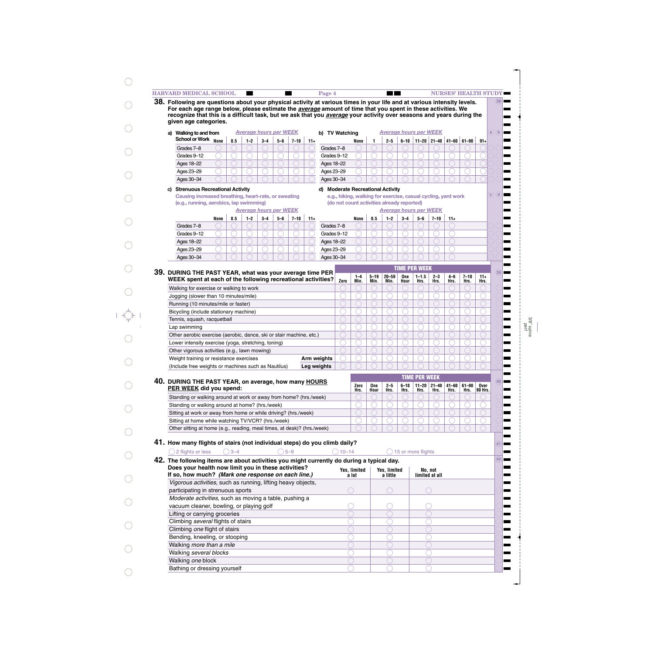|    | 38. Following are questions about your physical activity at various times in your life and at various intensity levels.                       |      |                |                               |         |                |          |       | Page 4                            |                  |              |              |                                            |          |                                   |                |                                                               |           |         |                              |
|----|-----------------------------------------------------------------------------------------------------------------------------------------------|------|----------------|-------------------------------|---------|----------------|----------|-------|-----------------------------------|------------------|--------------|--------------|--------------------------------------------|----------|-----------------------------------|----------------|---------------------------------------------------------------|-----------|---------|------------------------------|
|    | For each age range below, please estimate the <i>average</i> amount of time that you spent in these activities. We                            |      |                |                               |         |                |          |       |                                   |                  |              |              |                                            |          |                                   |                |                                                               |           |         |                              |
|    | recognize that this is a difficult task, but we ask that you average your activity over seasons and years during the<br>given age categories. |      |                |                               |         |                |          |       |                                   |                  |              |              |                                            |          |                                   |                |                                                               |           |         |                              |
|    | a) Walking to and from                                                                                                                        |      |                | <b>Average hours per WEEK</b> |         |                |          |       | b) TV Watching                    |                  |              |              |                                            |          | <b>Average hours per WEEK</b>     |                |                                                               |           |         | (b)<br>a                     |
|    | School or Work None                                                                                                                           |      | 0.5            | $1 - 2$                       | $3 - 4$ | $5-6$          | $7 - 10$ | $11+$ |                                   |                  | None         | $\mathbf{1}$ | $2 - 5$                                    |          |                                   |                | $6-10$   11-20   21-40   41-60   61-90                        |           | $91 +$  |                              |
|    | Grades 7-8                                                                                                                                    |      |                |                               |         |                |          |       | Grades 7-8                        |                  |              |              |                                            |          |                                   |                |                                                               |           |         |                              |
|    | Grades 9-12                                                                                                                                   |      |                |                               |         |                |          |       | Grades 9-12                       |                  |              |              |                                            |          |                                   |                |                                                               |           |         |                              |
|    | Ages 18-22                                                                                                                                    |      |                |                               |         |                |          |       | Ages 18-22                        |                  |              |              |                                            |          |                                   |                |                                                               |           |         |                              |
|    | Ages 23-29                                                                                                                                    |      |                |                               |         |                |          |       | Ages 23-29                        |                  |              |              |                                            |          |                                   |                |                                                               |           |         |                              |
|    | Ages 30-34                                                                                                                                    |      |                |                               |         |                |          |       | Ages 30-34                        |                  |              |              |                                            |          |                                   |                |                                                               |           |         |                              |
| C) | <b>Strenuous Recreational Activity</b>                                                                                                        |      |                |                               |         |                |          |       | d) Moderate Recreational Activity |                  |              |              |                                            |          |                                   |                |                                                               |           |         |                              |
|    | Causing increased breathing, heart-rate, or sweating                                                                                          |      |                |                               |         |                |          |       |                                   |                  |              |              |                                            |          |                                   |                | e.g., hiking, walking for exercise, casual cycling, yard work |           |         | $\mathbf{C}$<br>$\mathsf{d}$ |
|    | (e.g., running, aerobics, lap swimming)                                                                                                       |      |                |                               |         |                |          |       |                                   |                  |              |              | (do not count activities already reported) |          |                                   |                |                                                               |           |         |                              |
|    |                                                                                                                                               |      |                | <b>Average hours per WEEK</b> |         |                |          |       |                                   |                  |              |              |                                            |          | <b>Average hours per WEEK</b>     |                |                                                               |           |         |                              |
|    |                                                                                                                                               | None | 0.5            | $1 - 2$                       | $3-4$   | $5-6$          | $7 - 10$ | $11+$ |                                   |                  | None         | 0.5          | $1 - 2$                                    | $3 - 4$  | $5-6$                             | $7 - 10$       | $11+$                                                         |           |         |                              |
|    | Grades 7-8                                                                                                                                    |      |                |                               |         |                |          |       | Grades 7-8                        |                  |              |              |                                            |          |                                   |                |                                                               |           |         |                              |
|    | Grades 9-12                                                                                                                                   |      |                |                               |         |                |          |       | Grades 9-12                       |                  |              |              |                                            |          |                                   |                |                                                               |           |         |                              |
|    | Ages 18-22                                                                                                                                    |      |                |                               |         |                |          |       | Ages 18-22                        |                  |              |              |                                            |          |                                   |                |                                                               |           |         |                              |
|    | Ages 23-29                                                                                                                                    |      |                |                               |         |                |          |       | Ages 23-29                        |                  |              |              |                                            |          |                                   |                |                                                               |           |         |                              |
|    | Ages 30-34                                                                                                                                    |      |                |                               |         |                |          |       | Ages 30-34                        |                  |              |              |                                            |          |                                   |                |                                                               |           |         |                              |
|    | 39. DURING THE PAST YEAR, what was your average time PER                                                                                      |      |                |                               |         |                |          |       |                                   |                  |              |              |                                            |          | <b>TIME PER WEEK</b>              |                |                                                               |           |         |                              |
|    | WEEK spent at each of the following recreational activities?                                                                                  |      |                |                               |         |                |          |       |                                   |                  | $1 - 4$      | $5 - 19$     | $20 - 59$                                  | One      | $1 - 1.5$                         | $2 - 3$        | $4-6$                                                         | $7 - 10$  | $11+$   |                              |
|    | Walking for exercise or walking to work                                                                                                       |      |                |                               |         |                |          |       |                                   | Zero             | Min.         | Min.         | Min.                                       | Hour     | Hrs.                              | Hrs.           | Hrs.                                                          | Hrs.      | Hrs.    |                              |
|    | Jogging (slower than 10 minutes/mile)                                                                                                         |      |                |                               |         |                |          |       |                                   |                  |              |              |                                            |          |                                   |                |                                                               |           |         |                              |
|    | Running (10 minutes/mile or faster)                                                                                                           |      |                |                               |         |                |          |       |                                   |                  |              |              |                                            |          |                                   |                |                                                               |           |         |                              |
|    | Bicycling (include stationary machine)                                                                                                        |      |                |                               |         |                |          |       |                                   |                  |              |              |                                            |          |                                   |                |                                                               |           |         |                              |
|    | Tennis, squash, racquetball                                                                                                                   |      |                |                               |         |                |          |       |                                   |                  |              |              |                                            |          |                                   |                |                                                               |           |         |                              |
|    | Lap swimming                                                                                                                                  |      |                |                               |         |                |          |       |                                   |                  |              |              |                                            |          |                                   |                |                                                               |           |         |                              |
|    | Other aerobic exercise (aerobic, dance, ski or stair machine, etc.)                                                                           |      |                |                               |         |                |          |       |                                   |                  |              |              |                                            |          |                                   |                |                                                               |           |         |                              |
|    | Lower intensity exercise (yoga, stretching, toning)                                                                                           |      |                |                               |         |                |          |       |                                   |                  |              |              |                                            |          |                                   |                |                                                               |           |         |                              |
|    | Other vigorous activities (e.g., lawn mowing)                                                                                                 |      |                |                               |         |                |          |       |                                   |                  |              |              |                                            |          |                                   |                |                                                               |           |         |                              |
|    | Weight training or resistance exercises                                                                                                       |      |                |                               |         |                |          |       | Arm weights                       |                  |              |              |                                            |          |                                   |                |                                                               |           |         |                              |
|    | (Include free weights or machines such as Nautilus)                                                                                           |      |                |                               |         |                |          |       | Leg weights                       |                  |              |              |                                            |          |                                   |                |                                                               |           |         |                              |
|    |                                                                                                                                               |      |                |                               |         |                |          |       |                                   |                  |              |              |                                            |          |                                   |                |                                                               |           |         |                              |
|    | 40. DURING THE PAST YEAR, on average, how many <b>HOURS</b><br>PER WEEK did you spend:                                                        |      |                |                               |         |                |          |       |                                   |                  | Zero         | One          | $2 - 5$                                    | $6 - 10$ | <b>TIME PER WEEK</b><br>$11 - 20$ | $21 - 40$      | $41 - 60$                                                     | $61 - 90$ | Over    |                              |
|    | Standing or walking around at work or away from home? (hrs./week)                                                                             |      |                |                               |         |                |          |       |                                   |                  | Hrs.         | Hour         | Hrs.                                       | Hrs.     | Hrs.                              | Hrs.           | Hrs.                                                          | Hrs.      | 90 Hrs. |                              |
|    | Standing or walking around at home? (hrs./week)                                                                                               |      |                |                               |         |                |          |       |                                   |                  |              | ∩            |                                            |          |                                   |                |                                                               |           |         |                              |
|    | Sitting at work or away from home or while driving? (hrs./week)                                                                               |      |                |                               |         |                |          |       |                                   |                  |              |              |                                            |          |                                   |                |                                                               |           |         |                              |
|    | Sitting at home while watching TV/VCR? (hrs./week)                                                                                            |      |                |                               |         |                |          |       |                                   |                  |              |              |                                            |          |                                   |                |                                                               |           |         |                              |
|    | Other sitting at home (e.g., reading, meal times, at desk)? (hrs./week)                                                                       |      |                |                               |         |                |          |       |                                   |                  |              |              |                                            |          |                                   |                |                                                               |           |         |                              |
|    |                                                                                                                                               |      |                |                               |         |                |          |       |                                   |                  |              |              |                                            |          |                                   |                |                                                               |           |         |                              |
|    | 41. How many flights of stairs (not individual steps) do you climb daily?                                                                     |      |                |                               |         |                |          |       |                                   |                  |              |              |                                            |          |                                   |                |                                                               |           |         |                              |
|    | $\bigcirc$ 2 flights or less                                                                                                                  |      | $\bigcirc$ 3-4 |                               |         | $\bigcirc$ 5-9 |          |       |                                   | $\bigcirc$ 10–14 |              |              |                                            |          | 15 or more flights                |                |                                                               |           |         |                              |
|    | 42. The following items are about activities you might currently do during a typical day.                                                     |      |                |                               |         |                |          |       |                                   |                  |              |              |                                            |          |                                   |                |                                                               |           |         |                              |
|    | Does your health now limit you in these activities?                                                                                           |      |                |                               |         |                |          |       |                                   |                  | Yes, limited |              | Yes, limited                               |          |                                   | No, not        |                                                               |           |         |                              |
|    | If so, how much? (Mark one response on each line.)                                                                                            |      |                |                               |         |                |          |       |                                   |                  | a lot        |              | a little                                   |          |                                   | limited at all |                                                               |           |         |                              |
|    | Vigorous activities, such as running, lifting heavy objects,                                                                                  |      |                |                               |         |                |          |       |                                   |                  |              |              |                                            |          |                                   |                |                                                               |           |         |                              |
|    | participating in strenuous sports                                                                                                             |      |                |                               |         |                |          |       |                                   |                  |              |              |                                            |          |                                   |                |                                                               |           |         |                              |
|    | Moderate activities, such as moving a table, pushing a                                                                                        |      |                |                               |         |                |          |       |                                   |                  |              |              |                                            |          |                                   |                |                                                               |           |         |                              |
|    | vacuum cleaner, bowling, or playing golf                                                                                                      |      |                |                               |         |                |          |       |                                   |                  |              |              |                                            |          |                                   |                |                                                               |           |         |                              |
|    | Lifting or carrying groceries                                                                                                                 |      |                |                               |         |                |          |       |                                   |                  |              |              |                                            |          |                                   |                |                                                               |           |         |                              |
|    | Climbing several flights of stairs                                                                                                            |      |                |                               |         |                |          |       |                                   |                  |              |              |                                            |          |                                   |                |                                                               |           |         |                              |
|    | Climbing one flight of stairs                                                                                                                 |      |                |                               |         |                |          |       |                                   |                  |              |              |                                            |          |                                   |                |                                                               |           |         |                              |
|    | Bending, kneeling, or stooping                                                                                                                |      |                |                               |         |                |          |       |                                   |                  |              |              |                                            |          |                                   |                |                                                               |           |         |                              |
|    | Walking more than a mile                                                                                                                      |      |                |                               |         |                |          |       |                                   |                  |              |              |                                            |          |                                   |                |                                                               |           |         |                              |
|    | Walking several blocks                                                                                                                        |      |                |                               |         |                |          |       |                                   |                  |              |              |                                            |          |                                   |                |                                                               |           |         |                              |
|    |                                                                                                                                               |      |                |                               |         |                |          |       |                                   |                  |              |              |                                            |          |                                   |                |                                                               |           |         |                              |
|    | Walking one block                                                                                                                             |      |                |                               |         |                |          |       |                                   |                  |              |              |                                            |          |                                   |                |                                                               |           |         |                              |

3/8" spine perf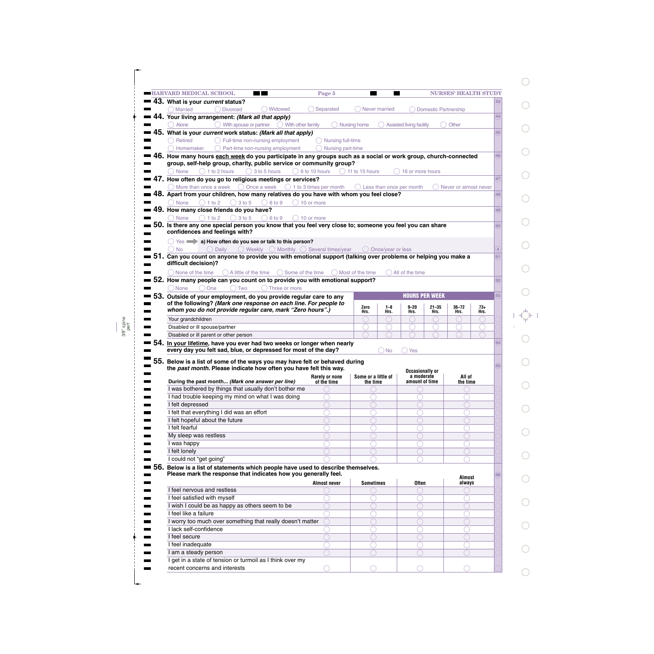| 43. What is your current status?<br>Widowed<br>Separated<br>Never married<br>() Married<br>() Divorced<br>Domestic Partnership<br>(44)<br>44. Your living arrangement: (Mark all that apply)<br>With spouse or partner $\bigcirc$ With other family<br>Alone<br>Nursing home<br>Assisted living facility<br>Other<br>45. What is your current work status: (Mark all that apply)<br>45<br>Full-time non-nursing employment<br>Nursing full-time<br>Retired<br>Part-time non-nursing employment<br>Nursing part-time<br>Homemaker<br>46. How many hours each week do you participate in any groups such as a social or work group, church-connected<br>46<br>group, self-help group, charity, public service or community group?<br>None<br>$\bigcirc$ 1 to 2 hours<br>3 to 5 hours<br>6 to 10 hours<br>$\bigcirc$ 11 to 15 hours<br>16 or more hours<br>47<br>47. How often do you go to religious meetings or services?<br>$\bigcirc$ More than once a week<br>$\bigcirc$ Once a week<br>$\bigcirc$ 1 to 3 times per month<br>Less than once per month<br>Never or almost never<br>${\bf 48.}$ Apart from your children, how many relatives do you have with whom you feel close?<br>48<br>$\bigcap$ None<br>$\bigcirc$ 1 to 2<br>3 to 5<br>6 to 9<br>10 or more<br>49. How many close friends do you have?<br>49<br>$\bigcap$ None<br>$\bigcirc$ 1 to 2<br>$\bigcirc$ 3 to 5<br>$\bigcirc$ 6 to 9<br>10 or more<br>${\bf 50}.$ Is there any one special person you know that you feel very close to; someone you feel you can share<br>50<br>confidences and feelings with?<br>Yes a) How often do you see or talk to this person?<br>$\bigcirc$ Weekly $\bigcirc$ Monthly $\bigcirc$ Several times/year<br>$()$ No<br>$\bigcirc$ Daily<br>Once/year or less<br>51. Can you count on anyone to provide you with emotional support (talking over problems or helping you make a<br>$\overline{51}$<br>difficult decision)?<br>$\bigcap$ A little of the time<br>() None of the time<br>() Some of the time<br>() Most of the time<br>All of the time<br>52. How many people can you count on to provide you with emotional support?<br>52<br>One<br>( ) None<br>) Two<br>Three or more<br><b>HOURS PER WEEK</b><br>53<br>53. Outside of your employment, do you provide regular care to any<br>of the following? (Mark one response on each line. For people to<br>$9 - 20$<br>$21 - 35$<br>$36 - 72$<br>Zero<br>$1 - 8$<br>73+<br>whom you do not provide regular care, mark "Zero hours".)<br>Hrs.<br>Hrs.<br>Hrs.<br>Hrs.<br>Hrs.<br>Hrs.<br>Your grandchildren<br>Disabled or ill spouse/partner<br>Disabled or ill parent or other person<br>54<br>54. In your lifetime, have you ever had two weeks or longer when nearly<br>every day you felt sad, blue, or depressed for most of the day?<br><b>No</b><br>Yes<br>${\bf 55.}$ Below is a list of some of the ways you may have felt or behaved during<br>55<br>the past month. Please indicate how often you have felt this way.<br>Occasionally or<br><b>Rarely or none</b><br>Some or a little of<br>a moderate<br>All of<br>During the past month (Mark one answer per line)<br>amount of time<br>the time<br>of the time<br>the time<br>I was bothered by things that usually don't bother me<br>I had trouble keeping my mind on what I was doing<br>I felt depressed<br>I felt that everything I did was an effort<br>I felt hopeful about the future<br>I felt fearful<br>My sleep was restless<br>I was happy<br>I felt lonely<br>I could not "get going"<br>Below is a list of statements which people have used to describe themselves.<br>56.<br>Please mark the response that indicates how you generally feel.<br>56<br>Almost<br><b>Sometimes</b><br><b>Often</b><br>always<br>Almost never<br>I feel nervous and restless<br>I feel satisfied with myself<br>I wish I could be as happy as others seem to be<br>I feel like a failure<br>I worry too much over something that really doesn't matter<br>I lack self-confidence<br>I feel secure<br>I feel inadequate<br>I am a steady person<br>I get in a state of tension or turmoil as I think over my<br>recent concerns and interests | <b>HARVARD MEDICAL SCHOOL</b><br>ی ہے |  |  |  |  |
|-------------------------------------------------------------------------------------------------------------------------------------------------------------------------------------------------------------------------------------------------------------------------------------------------------------------------------------------------------------------------------------------------------------------------------------------------------------------------------------------------------------------------------------------------------------------------------------------------------------------------------------------------------------------------------------------------------------------------------------------------------------------------------------------------------------------------------------------------------------------------------------------------------------------------------------------------------------------------------------------------------------------------------------------------------------------------------------------------------------------------------------------------------------------------------------------------------------------------------------------------------------------------------------------------------------------------------------------------------------------------------------------------------------------------------------------------------------------------------------------------------------------------------------------------------------------------------------------------------------------------------------------------------------------------------------------------------------------------------------------------------------------------------------------------------------------------------------------------------------------------------------------------------------------------------------------------------------------------------------------------------------------------------------------------------------------------------------------------------------------------------------------------------------------------------------------------------------------------------------------------------------------------------------------------------------------------------------------------------------------------------------------------------------------------------------------------------------------------------------------------------------------------------------------------------------------------------------------------------------------------------------------------------------------------------------------------------------------------------------------------------------------------------------------------------------------------------------------------------------------------------------------------------------------------------------------------------------------------------------------------------------------------------------------------------------------------------------------------------------------------------------------------------------------------------------------------------------------------------------------------------------------------------------------------------------------------------------------------------------------------------------------------------------------------------------------------------------------------------------------------------------------------------------------------------------------------------------------------------------------------------------------------------------------------------------------------------------------------------------------------------------------------------------------------------------------------------------------------------------------------------------------------------------------------------------------------------------------------------------------------------------------------------------------------------------------------------------------------------------------------------------------------------------------|---------------------------------------|--|--|--|--|
|                                                                                                                                                                                                                                                                                                                                                                                                                                                                                                                                                                                                                                                                                                                                                                                                                                                                                                                                                                                                                                                                                                                                                                                                                                                                                                                                                                                                                                                                                                                                                                                                                                                                                                                                                                                                                                                                                                                                                                                                                                                                                                                                                                                                                                                                                                                                                                                                                                                                                                                                                                                                                                                                                                                                                                                                                                                                                                                                                                                                                                                                                                                                                                                                                                                                                                                                                                                                                                                                                                                                                                                                                                                                                                                                                                                                                                                                                                                                                                                                                                                                                                                                                                   |                                       |  |  |  |  |
|                                                                                                                                                                                                                                                                                                                                                                                                                                                                                                                                                                                                                                                                                                                                                                                                                                                                                                                                                                                                                                                                                                                                                                                                                                                                                                                                                                                                                                                                                                                                                                                                                                                                                                                                                                                                                                                                                                                                                                                                                                                                                                                                                                                                                                                                                                                                                                                                                                                                                                                                                                                                                                                                                                                                                                                                                                                                                                                                                                                                                                                                                                                                                                                                                                                                                                                                                                                                                                                                                                                                                                                                                                                                                                                                                                                                                                                                                                                                                                                                                                                                                                                                                                   |                                       |  |  |  |  |
|                                                                                                                                                                                                                                                                                                                                                                                                                                                                                                                                                                                                                                                                                                                                                                                                                                                                                                                                                                                                                                                                                                                                                                                                                                                                                                                                                                                                                                                                                                                                                                                                                                                                                                                                                                                                                                                                                                                                                                                                                                                                                                                                                                                                                                                                                                                                                                                                                                                                                                                                                                                                                                                                                                                                                                                                                                                                                                                                                                                                                                                                                                                                                                                                                                                                                                                                                                                                                                                                                                                                                                                                                                                                                                                                                                                                                                                                                                                                                                                                                                                                                                                                                                   |                                       |  |  |  |  |
|                                                                                                                                                                                                                                                                                                                                                                                                                                                                                                                                                                                                                                                                                                                                                                                                                                                                                                                                                                                                                                                                                                                                                                                                                                                                                                                                                                                                                                                                                                                                                                                                                                                                                                                                                                                                                                                                                                                                                                                                                                                                                                                                                                                                                                                                                                                                                                                                                                                                                                                                                                                                                                                                                                                                                                                                                                                                                                                                                                                                                                                                                                                                                                                                                                                                                                                                                                                                                                                                                                                                                                                                                                                                                                                                                                                                                                                                                                                                                                                                                                                                                                                                                                   |                                       |  |  |  |  |
|                                                                                                                                                                                                                                                                                                                                                                                                                                                                                                                                                                                                                                                                                                                                                                                                                                                                                                                                                                                                                                                                                                                                                                                                                                                                                                                                                                                                                                                                                                                                                                                                                                                                                                                                                                                                                                                                                                                                                                                                                                                                                                                                                                                                                                                                                                                                                                                                                                                                                                                                                                                                                                                                                                                                                                                                                                                                                                                                                                                                                                                                                                                                                                                                                                                                                                                                                                                                                                                                                                                                                                                                                                                                                                                                                                                                                                                                                                                                                                                                                                                                                                                                                                   |                                       |  |  |  |  |
|                                                                                                                                                                                                                                                                                                                                                                                                                                                                                                                                                                                                                                                                                                                                                                                                                                                                                                                                                                                                                                                                                                                                                                                                                                                                                                                                                                                                                                                                                                                                                                                                                                                                                                                                                                                                                                                                                                                                                                                                                                                                                                                                                                                                                                                                                                                                                                                                                                                                                                                                                                                                                                                                                                                                                                                                                                                                                                                                                                                                                                                                                                                                                                                                                                                                                                                                                                                                                                                                                                                                                                                                                                                                                                                                                                                                                                                                                                                                                                                                                                                                                                                                                                   |                                       |  |  |  |  |
|                                                                                                                                                                                                                                                                                                                                                                                                                                                                                                                                                                                                                                                                                                                                                                                                                                                                                                                                                                                                                                                                                                                                                                                                                                                                                                                                                                                                                                                                                                                                                                                                                                                                                                                                                                                                                                                                                                                                                                                                                                                                                                                                                                                                                                                                                                                                                                                                                                                                                                                                                                                                                                                                                                                                                                                                                                                                                                                                                                                                                                                                                                                                                                                                                                                                                                                                                                                                                                                                                                                                                                                                                                                                                                                                                                                                                                                                                                                                                                                                                                                                                                                                                                   |                                       |  |  |  |  |
|                                                                                                                                                                                                                                                                                                                                                                                                                                                                                                                                                                                                                                                                                                                                                                                                                                                                                                                                                                                                                                                                                                                                                                                                                                                                                                                                                                                                                                                                                                                                                                                                                                                                                                                                                                                                                                                                                                                                                                                                                                                                                                                                                                                                                                                                                                                                                                                                                                                                                                                                                                                                                                                                                                                                                                                                                                                                                                                                                                                                                                                                                                                                                                                                                                                                                                                                                                                                                                                                                                                                                                                                                                                                                                                                                                                                                                                                                                                                                                                                                                                                                                                                                                   |                                       |  |  |  |  |
|                                                                                                                                                                                                                                                                                                                                                                                                                                                                                                                                                                                                                                                                                                                                                                                                                                                                                                                                                                                                                                                                                                                                                                                                                                                                                                                                                                                                                                                                                                                                                                                                                                                                                                                                                                                                                                                                                                                                                                                                                                                                                                                                                                                                                                                                                                                                                                                                                                                                                                                                                                                                                                                                                                                                                                                                                                                                                                                                                                                                                                                                                                                                                                                                                                                                                                                                                                                                                                                                                                                                                                                                                                                                                                                                                                                                                                                                                                                                                                                                                                                                                                                                                                   |                                       |  |  |  |  |
|                                                                                                                                                                                                                                                                                                                                                                                                                                                                                                                                                                                                                                                                                                                                                                                                                                                                                                                                                                                                                                                                                                                                                                                                                                                                                                                                                                                                                                                                                                                                                                                                                                                                                                                                                                                                                                                                                                                                                                                                                                                                                                                                                                                                                                                                                                                                                                                                                                                                                                                                                                                                                                                                                                                                                                                                                                                                                                                                                                                                                                                                                                                                                                                                                                                                                                                                                                                                                                                                                                                                                                                                                                                                                                                                                                                                                                                                                                                                                                                                                                                                                                                                                                   |                                       |  |  |  |  |
|                                                                                                                                                                                                                                                                                                                                                                                                                                                                                                                                                                                                                                                                                                                                                                                                                                                                                                                                                                                                                                                                                                                                                                                                                                                                                                                                                                                                                                                                                                                                                                                                                                                                                                                                                                                                                                                                                                                                                                                                                                                                                                                                                                                                                                                                                                                                                                                                                                                                                                                                                                                                                                                                                                                                                                                                                                                                                                                                                                                                                                                                                                                                                                                                                                                                                                                                                                                                                                                                                                                                                                                                                                                                                                                                                                                                                                                                                                                                                                                                                                                                                                                                                                   |                                       |  |  |  |  |
|                                                                                                                                                                                                                                                                                                                                                                                                                                                                                                                                                                                                                                                                                                                                                                                                                                                                                                                                                                                                                                                                                                                                                                                                                                                                                                                                                                                                                                                                                                                                                                                                                                                                                                                                                                                                                                                                                                                                                                                                                                                                                                                                                                                                                                                                                                                                                                                                                                                                                                                                                                                                                                                                                                                                                                                                                                                                                                                                                                                                                                                                                                                                                                                                                                                                                                                                                                                                                                                                                                                                                                                                                                                                                                                                                                                                                                                                                                                                                                                                                                                                                                                                                                   |                                       |  |  |  |  |
|                                                                                                                                                                                                                                                                                                                                                                                                                                                                                                                                                                                                                                                                                                                                                                                                                                                                                                                                                                                                                                                                                                                                                                                                                                                                                                                                                                                                                                                                                                                                                                                                                                                                                                                                                                                                                                                                                                                                                                                                                                                                                                                                                                                                                                                                                                                                                                                                                                                                                                                                                                                                                                                                                                                                                                                                                                                                                                                                                                                                                                                                                                                                                                                                                                                                                                                                                                                                                                                                                                                                                                                                                                                                                                                                                                                                                                                                                                                                                                                                                                                                                                                                                                   |                                       |  |  |  |  |
|                                                                                                                                                                                                                                                                                                                                                                                                                                                                                                                                                                                                                                                                                                                                                                                                                                                                                                                                                                                                                                                                                                                                                                                                                                                                                                                                                                                                                                                                                                                                                                                                                                                                                                                                                                                                                                                                                                                                                                                                                                                                                                                                                                                                                                                                                                                                                                                                                                                                                                                                                                                                                                                                                                                                                                                                                                                                                                                                                                                                                                                                                                                                                                                                                                                                                                                                                                                                                                                                                                                                                                                                                                                                                                                                                                                                                                                                                                                                                                                                                                                                                                                                                                   |                                       |  |  |  |  |
|                                                                                                                                                                                                                                                                                                                                                                                                                                                                                                                                                                                                                                                                                                                                                                                                                                                                                                                                                                                                                                                                                                                                                                                                                                                                                                                                                                                                                                                                                                                                                                                                                                                                                                                                                                                                                                                                                                                                                                                                                                                                                                                                                                                                                                                                                                                                                                                                                                                                                                                                                                                                                                                                                                                                                                                                                                                                                                                                                                                                                                                                                                                                                                                                                                                                                                                                                                                                                                                                                                                                                                                                                                                                                                                                                                                                                                                                                                                                                                                                                                                                                                                                                                   |                                       |  |  |  |  |
|                                                                                                                                                                                                                                                                                                                                                                                                                                                                                                                                                                                                                                                                                                                                                                                                                                                                                                                                                                                                                                                                                                                                                                                                                                                                                                                                                                                                                                                                                                                                                                                                                                                                                                                                                                                                                                                                                                                                                                                                                                                                                                                                                                                                                                                                                                                                                                                                                                                                                                                                                                                                                                                                                                                                                                                                                                                                                                                                                                                                                                                                                                                                                                                                                                                                                                                                                                                                                                                                                                                                                                                                                                                                                                                                                                                                                                                                                                                                                                                                                                                                                                                                                                   |                                       |  |  |  |  |
|                                                                                                                                                                                                                                                                                                                                                                                                                                                                                                                                                                                                                                                                                                                                                                                                                                                                                                                                                                                                                                                                                                                                                                                                                                                                                                                                                                                                                                                                                                                                                                                                                                                                                                                                                                                                                                                                                                                                                                                                                                                                                                                                                                                                                                                                                                                                                                                                                                                                                                                                                                                                                                                                                                                                                                                                                                                                                                                                                                                                                                                                                                                                                                                                                                                                                                                                                                                                                                                                                                                                                                                                                                                                                                                                                                                                                                                                                                                                                                                                                                                                                                                                                                   |                                       |  |  |  |  |
|                                                                                                                                                                                                                                                                                                                                                                                                                                                                                                                                                                                                                                                                                                                                                                                                                                                                                                                                                                                                                                                                                                                                                                                                                                                                                                                                                                                                                                                                                                                                                                                                                                                                                                                                                                                                                                                                                                                                                                                                                                                                                                                                                                                                                                                                                                                                                                                                                                                                                                                                                                                                                                                                                                                                                                                                                                                                                                                                                                                                                                                                                                                                                                                                                                                                                                                                                                                                                                                                                                                                                                                                                                                                                                                                                                                                                                                                                                                                                                                                                                                                                                                                                                   |                                       |  |  |  |  |
|                                                                                                                                                                                                                                                                                                                                                                                                                                                                                                                                                                                                                                                                                                                                                                                                                                                                                                                                                                                                                                                                                                                                                                                                                                                                                                                                                                                                                                                                                                                                                                                                                                                                                                                                                                                                                                                                                                                                                                                                                                                                                                                                                                                                                                                                                                                                                                                                                                                                                                                                                                                                                                                                                                                                                                                                                                                                                                                                                                                                                                                                                                                                                                                                                                                                                                                                                                                                                                                                                                                                                                                                                                                                                                                                                                                                                                                                                                                                                                                                                                                                                                                                                                   |                                       |  |  |  |  |
|                                                                                                                                                                                                                                                                                                                                                                                                                                                                                                                                                                                                                                                                                                                                                                                                                                                                                                                                                                                                                                                                                                                                                                                                                                                                                                                                                                                                                                                                                                                                                                                                                                                                                                                                                                                                                                                                                                                                                                                                                                                                                                                                                                                                                                                                                                                                                                                                                                                                                                                                                                                                                                                                                                                                                                                                                                                                                                                                                                                                                                                                                                                                                                                                                                                                                                                                                                                                                                                                                                                                                                                                                                                                                                                                                                                                                                                                                                                                                                                                                                                                                                                                                                   |                                       |  |  |  |  |
|                                                                                                                                                                                                                                                                                                                                                                                                                                                                                                                                                                                                                                                                                                                                                                                                                                                                                                                                                                                                                                                                                                                                                                                                                                                                                                                                                                                                                                                                                                                                                                                                                                                                                                                                                                                                                                                                                                                                                                                                                                                                                                                                                                                                                                                                                                                                                                                                                                                                                                                                                                                                                                                                                                                                                                                                                                                                                                                                                                                                                                                                                                                                                                                                                                                                                                                                                                                                                                                                                                                                                                                                                                                                                                                                                                                                                                                                                                                                                                                                                                                                                                                                                                   |                                       |  |  |  |  |
|                                                                                                                                                                                                                                                                                                                                                                                                                                                                                                                                                                                                                                                                                                                                                                                                                                                                                                                                                                                                                                                                                                                                                                                                                                                                                                                                                                                                                                                                                                                                                                                                                                                                                                                                                                                                                                                                                                                                                                                                                                                                                                                                                                                                                                                                                                                                                                                                                                                                                                                                                                                                                                                                                                                                                                                                                                                                                                                                                                                                                                                                                                                                                                                                                                                                                                                                                                                                                                                                                                                                                                                                                                                                                                                                                                                                                                                                                                                                                                                                                                                                                                                                                                   |                                       |  |  |  |  |
|                                                                                                                                                                                                                                                                                                                                                                                                                                                                                                                                                                                                                                                                                                                                                                                                                                                                                                                                                                                                                                                                                                                                                                                                                                                                                                                                                                                                                                                                                                                                                                                                                                                                                                                                                                                                                                                                                                                                                                                                                                                                                                                                                                                                                                                                                                                                                                                                                                                                                                                                                                                                                                                                                                                                                                                                                                                                                                                                                                                                                                                                                                                                                                                                                                                                                                                                                                                                                                                                                                                                                                                                                                                                                                                                                                                                                                                                                                                                                                                                                                                                                                                                                                   |                                       |  |  |  |  |
|                                                                                                                                                                                                                                                                                                                                                                                                                                                                                                                                                                                                                                                                                                                                                                                                                                                                                                                                                                                                                                                                                                                                                                                                                                                                                                                                                                                                                                                                                                                                                                                                                                                                                                                                                                                                                                                                                                                                                                                                                                                                                                                                                                                                                                                                                                                                                                                                                                                                                                                                                                                                                                                                                                                                                                                                                                                                                                                                                                                                                                                                                                                                                                                                                                                                                                                                                                                                                                                                                                                                                                                                                                                                                                                                                                                                                                                                                                                                                                                                                                                                                                                                                                   |                                       |  |  |  |  |
|                                                                                                                                                                                                                                                                                                                                                                                                                                                                                                                                                                                                                                                                                                                                                                                                                                                                                                                                                                                                                                                                                                                                                                                                                                                                                                                                                                                                                                                                                                                                                                                                                                                                                                                                                                                                                                                                                                                                                                                                                                                                                                                                                                                                                                                                                                                                                                                                                                                                                                                                                                                                                                                                                                                                                                                                                                                                                                                                                                                                                                                                                                                                                                                                                                                                                                                                                                                                                                                                                                                                                                                                                                                                                                                                                                                                                                                                                                                                                                                                                                                                                                                                                                   |                                       |  |  |  |  |
|                                                                                                                                                                                                                                                                                                                                                                                                                                                                                                                                                                                                                                                                                                                                                                                                                                                                                                                                                                                                                                                                                                                                                                                                                                                                                                                                                                                                                                                                                                                                                                                                                                                                                                                                                                                                                                                                                                                                                                                                                                                                                                                                                                                                                                                                                                                                                                                                                                                                                                                                                                                                                                                                                                                                                                                                                                                                                                                                                                                                                                                                                                                                                                                                                                                                                                                                                                                                                                                                                                                                                                                                                                                                                                                                                                                                                                                                                                                                                                                                                                                                                                                                                                   |                                       |  |  |  |  |
|                                                                                                                                                                                                                                                                                                                                                                                                                                                                                                                                                                                                                                                                                                                                                                                                                                                                                                                                                                                                                                                                                                                                                                                                                                                                                                                                                                                                                                                                                                                                                                                                                                                                                                                                                                                                                                                                                                                                                                                                                                                                                                                                                                                                                                                                                                                                                                                                                                                                                                                                                                                                                                                                                                                                                                                                                                                                                                                                                                                                                                                                                                                                                                                                                                                                                                                                                                                                                                                                                                                                                                                                                                                                                                                                                                                                                                                                                                                                                                                                                                                                                                                                                                   |                                       |  |  |  |  |
|                                                                                                                                                                                                                                                                                                                                                                                                                                                                                                                                                                                                                                                                                                                                                                                                                                                                                                                                                                                                                                                                                                                                                                                                                                                                                                                                                                                                                                                                                                                                                                                                                                                                                                                                                                                                                                                                                                                                                                                                                                                                                                                                                                                                                                                                                                                                                                                                                                                                                                                                                                                                                                                                                                                                                                                                                                                                                                                                                                                                                                                                                                                                                                                                                                                                                                                                                                                                                                                                                                                                                                                                                                                                                                                                                                                                                                                                                                                                                                                                                                                                                                                                                                   |                                       |  |  |  |  |
|                                                                                                                                                                                                                                                                                                                                                                                                                                                                                                                                                                                                                                                                                                                                                                                                                                                                                                                                                                                                                                                                                                                                                                                                                                                                                                                                                                                                                                                                                                                                                                                                                                                                                                                                                                                                                                                                                                                                                                                                                                                                                                                                                                                                                                                                                                                                                                                                                                                                                                                                                                                                                                                                                                                                                                                                                                                                                                                                                                                                                                                                                                                                                                                                                                                                                                                                                                                                                                                                                                                                                                                                                                                                                                                                                                                                                                                                                                                                                                                                                                                                                                                                                                   |                                       |  |  |  |  |
|                                                                                                                                                                                                                                                                                                                                                                                                                                                                                                                                                                                                                                                                                                                                                                                                                                                                                                                                                                                                                                                                                                                                                                                                                                                                                                                                                                                                                                                                                                                                                                                                                                                                                                                                                                                                                                                                                                                                                                                                                                                                                                                                                                                                                                                                                                                                                                                                                                                                                                                                                                                                                                                                                                                                                                                                                                                                                                                                                                                                                                                                                                                                                                                                                                                                                                                                                                                                                                                                                                                                                                                                                                                                                                                                                                                                                                                                                                                                                                                                                                                                                                                                                                   |                                       |  |  |  |  |
|                                                                                                                                                                                                                                                                                                                                                                                                                                                                                                                                                                                                                                                                                                                                                                                                                                                                                                                                                                                                                                                                                                                                                                                                                                                                                                                                                                                                                                                                                                                                                                                                                                                                                                                                                                                                                                                                                                                                                                                                                                                                                                                                                                                                                                                                                                                                                                                                                                                                                                                                                                                                                                                                                                                                                                                                                                                                                                                                                                                                                                                                                                                                                                                                                                                                                                                                                                                                                                                                                                                                                                                                                                                                                                                                                                                                                                                                                                                                                                                                                                                                                                                                                                   |                                       |  |  |  |  |
|                                                                                                                                                                                                                                                                                                                                                                                                                                                                                                                                                                                                                                                                                                                                                                                                                                                                                                                                                                                                                                                                                                                                                                                                                                                                                                                                                                                                                                                                                                                                                                                                                                                                                                                                                                                                                                                                                                                                                                                                                                                                                                                                                                                                                                                                                                                                                                                                                                                                                                                                                                                                                                                                                                                                                                                                                                                                                                                                                                                                                                                                                                                                                                                                                                                                                                                                                                                                                                                                                                                                                                                                                                                                                                                                                                                                                                                                                                                                                                                                                                                                                                                                                                   |                                       |  |  |  |  |
|                                                                                                                                                                                                                                                                                                                                                                                                                                                                                                                                                                                                                                                                                                                                                                                                                                                                                                                                                                                                                                                                                                                                                                                                                                                                                                                                                                                                                                                                                                                                                                                                                                                                                                                                                                                                                                                                                                                                                                                                                                                                                                                                                                                                                                                                                                                                                                                                                                                                                                                                                                                                                                                                                                                                                                                                                                                                                                                                                                                                                                                                                                                                                                                                                                                                                                                                                                                                                                                                                                                                                                                                                                                                                                                                                                                                                                                                                                                                                                                                                                                                                                                                                                   |                                       |  |  |  |  |
|                                                                                                                                                                                                                                                                                                                                                                                                                                                                                                                                                                                                                                                                                                                                                                                                                                                                                                                                                                                                                                                                                                                                                                                                                                                                                                                                                                                                                                                                                                                                                                                                                                                                                                                                                                                                                                                                                                                                                                                                                                                                                                                                                                                                                                                                                                                                                                                                                                                                                                                                                                                                                                                                                                                                                                                                                                                                                                                                                                                                                                                                                                                                                                                                                                                                                                                                                                                                                                                                                                                                                                                                                                                                                                                                                                                                                                                                                                                                                                                                                                                                                                                                                                   |                                       |  |  |  |  |
|                                                                                                                                                                                                                                                                                                                                                                                                                                                                                                                                                                                                                                                                                                                                                                                                                                                                                                                                                                                                                                                                                                                                                                                                                                                                                                                                                                                                                                                                                                                                                                                                                                                                                                                                                                                                                                                                                                                                                                                                                                                                                                                                                                                                                                                                                                                                                                                                                                                                                                                                                                                                                                                                                                                                                                                                                                                                                                                                                                                                                                                                                                                                                                                                                                                                                                                                                                                                                                                                                                                                                                                                                                                                                                                                                                                                                                                                                                                                                                                                                                                                                                                                                                   |                                       |  |  |  |  |
|                                                                                                                                                                                                                                                                                                                                                                                                                                                                                                                                                                                                                                                                                                                                                                                                                                                                                                                                                                                                                                                                                                                                                                                                                                                                                                                                                                                                                                                                                                                                                                                                                                                                                                                                                                                                                                                                                                                                                                                                                                                                                                                                                                                                                                                                                                                                                                                                                                                                                                                                                                                                                                                                                                                                                                                                                                                                                                                                                                                                                                                                                                                                                                                                                                                                                                                                                                                                                                                                                                                                                                                                                                                                                                                                                                                                                                                                                                                                                                                                                                                                                                                                                                   |                                       |  |  |  |  |
|                                                                                                                                                                                                                                                                                                                                                                                                                                                                                                                                                                                                                                                                                                                                                                                                                                                                                                                                                                                                                                                                                                                                                                                                                                                                                                                                                                                                                                                                                                                                                                                                                                                                                                                                                                                                                                                                                                                                                                                                                                                                                                                                                                                                                                                                                                                                                                                                                                                                                                                                                                                                                                                                                                                                                                                                                                                                                                                                                                                                                                                                                                                                                                                                                                                                                                                                                                                                                                                                                                                                                                                                                                                                                                                                                                                                                                                                                                                                                                                                                                                                                                                                                                   |                                       |  |  |  |  |
|                                                                                                                                                                                                                                                                                                                                                                                                                                                                                                                                                                                                                                                                                                                                                                                                                                                                                                                                                                                                                                                                                                                                                                                                                                                                                                                                                                                                                                                                                                                                                                                                                                                                                                                                                                                                                                                                                                                                                                                                                                                                                                                                                                                                                                                                                                                                                                                                                                                                                                                                                                                                                                                                                                                                                                                                                                                                                                                                                                                                                                                                                                                                                                                                                                                                                                                                                                                                                                                                                                                                                                                                                                                                                                                                                                                                                                                                                                                                                                                                                                                                                                                                                                   |                                       |  |  |  |  |
|                                                                                                                                                                                                                                                                                                                                                                                                                                                                                                                                                                                                                                                                                                                                                                                                                                                                                                                                                                                                                                                                                                                                                                                                                                                                                                                                                                                                                                                                                                                                                                                                                                                                                                                                                                                                                                                                                                                                                                                                                                                                                                                                                                                                                                                                                                                                                                                                                                                                                                                                                                                                                                                                                                                                                                                                                                                                                                                                                                                                                                                                                                                                                                                                                                                                                                                                                                                                                                                                                                                                                                                                                                                                                                                                                                                                                                                                                                                                                                                                                                                                                                                                                                   |                                       |  |  |  |  |
|                                                                                                                                                                                                                                                                                                                                                                                                                                                                                                                                                                                                                                                                                                                                                                                                                                                                                                                                                                                                                                                                                                                                                                                                                                                                                                                                                                                                                                                                                                                                                                                                                                                                                                                                                                                                                                                                                                                                                                                                                                                                                                                                                                                                                                                                                                                                                                                                                                                                                                                                                                                                                                                                                                                                                                                                                                                                                                                                                                                                                                                                                                                                                                                                                                                                                                                                                                                                                                                                                                                                                                                                                                                                                                                                                                                                                                                                                                                                                                                                                                                                                                                                                                   |                                       |  |  |  |  |
|                                                                                                                                                                                                                                                                                                                                                                                                                                                                                                                                                                                                                                                                                                                                                                                                                                                                                                                                                                                                                                                                                                                                                                                                                                                                                                                                                                                                                                                                                                                                                                                                                                                                                                                                                                                                                                                                                                                                                                                                                                                                                                                                                                                                                                                                                                                                                                                                                                                                                                                                                                                                                                                                                                                                                                                                                                                                                                                                                                                                                                                                                                                                                                                                                                                                                                                                                                                                                                                                                                                                                                                                                                                                                                                                                                                                                                                                                                                                                                                                                                                                                                                                                                   |                                       |  |  |  |  |
|                                                                                                                                                                                                                                                                                                                                                                                                                                                                                                                                                                                                                                                                                                                                                                                                                                                                                                                                                                                                                                                                                                                                                                                                                                                                                                                                                                                                                                                                                                                                                                                                                                                                                                                                                                                                                                                                                                                                                                                                                                                                                                                                                                                                                                                                                                                                                                                                                                                                                                                                                                                                                                                                                                                                                                                                                                                                                                                                                                                                                                                                                                                                                                                                                                                                                                                                                                                                                                                                                                                                                                                                                                                                                                                                                                                                                                                                                                                                                                                                                                                                                                                                                                   |                                       |  |  |  |  |
|                                                                                                                                                                                                                                                                                                                                                                                                                                                                                                                                                                                                                                                                                                                                                                                                                                                                                                                                                                                                                                                                                                                                                                                                                                                                                                                                                                                                                                                                                                                                                                                                                                                                                                                                                                                                                                                                                                                                                                                                                                                                                                                                                                                                                                                                                                                                                                                                                                                                                                                                                                                                                                                                                                                                                                                                                                                                                                                                                                                                                                                                                                                                                                                                                                                                                                                                                                                                                                                                                                                                                                                                                                                                                                                                                                                                                                                                                                                                                                                                                                                                                                                                                                   |                                       |  |  |  |  |
|                                                                                                                                                                                                                                                                                                                                                                                                                                                                                                                                                                                                                                                                                                                                                                                                                                                                                                                                                                                                                                                                                                                                                                                                                                                                                                                                                                                                                                                                                                                                                                                                                                                                                                                                                                                                                                                                                                                                                                                                                                                                                                                                                                                                                                                                                                                                                                                                                                                                                                                                                                                                                                                                                                                                                                                                                                                                                                                                                                                                                                                                                                                                                                                                                                                                                                                                                                                                                                                                                                                                                                                                                                                                                                                                                                                                                                                                                                                                                                                                                                                                                                                                                                   |                                       |  |  |  |  |
|                                                                                                                                                                                                                                                                                                                                                                                                                                                                                                                                                                                                                                                                                                                                                                                                                                                                                                                                                                                                                                                                                                                                                                                                                                                                                                                                                                                                                                                                                                                                                                                                                                                                                                                                                                                                                                                                                                                                                                                                                                                                                                                                                                                                                                                                                                                                                                                                                                                                                                                                                                                                                                                                                                                                                                                                                                                                                                                                                                                                                                                                                                                                                                                                                                                                                                                                                                                                                                                                                                                                                                                                                                                                                                                                                                                                                                                                                                                                                                                                                                                                                                                                                                   |                                       |  |  |  |  |
|                                                                                                                                                                                                                                                                                                                                                                                                                                                                                                                                                                                                                                                                                                                                                                                                                                                                                                                                                                                                                                                                                                                                                                                                                                                                                                                                                                                                                                                                                                                                                                                                                                                                                                                                                                                                                                                                                                                                                                                                                                                                                                                                                                                                                                                                                                                                                                                                                                                                                                                                                                                                                                                                                                                                                                                                                                                                                                                                                                                                                                                                                                                                                                                                                                                                                                                                                                                                                                                                                                                                                                                                                                                                                                                                                                                                                                                                                                                                                                                                                                                                                                                                                                   |                                       |  |  |  |  |
|                                                                                                                                                                                                                                                                                                                                                                                                                                                                                                                                                                                                                                                                                                                                                                                                                                                                                                                                                                                                                                                                                                                                                                                                                                                                                                                                                                                                                                                                                                                                                                                                                                                                                                                                                                                                                                                                                                                                                                                                                                                                                                                                                                                                                                                                                                                                                                                                                                                                                                                                                                                                                                                                                                                                                                                                                                                                                                                                                                                                                                                                                                                                                                                                                                                                                                                                                                                                                                                                                                                                                                                                                                                                                                                                                                                                                                                                                                                                                                                                                                                                                                                                                                   |                                       |  |  |  |  |
|                                                                                                                                                                                                                                                                                                                                                                                                                                                                                                                                                                                                                                                                                                                                                                                                                                                                                                                                                                                                                                                                                                                                                                                                                                                                                                                                                                                                                                                                                                                                                                                                                                                                                                                                                                                                                                                                                                                                                                                                                                                                                                                                                                                                                                                                                                                                                                                                                                                                                                                                                                                                                                                                                                                                                                                                                                                                                                                                                                                                                                                                                                                                                                                                                                                                                                                                                                                                                                                                                                                                                                                                                                                                                                                                                                                                                                                                                                                                                                                                                                                                                                                                                                   |                                       |  |  |  |  |
|                                                                                                                                                                                                                                                                                                                                                                                                                                                                                                                                                                                                                                                                                                                                                                                                                                                                                                                                                                                                                                                                                                                                                                                                                                                                                                                                                                                                                                                                                                                                                                                                                                                                                                                                                                                                                                                                                                                                                                                                                                                                                                                                                                                                                                                                                                                                                                                                                                                                                                                                                                                                                                                                                                                                                                                                                                                                                                                                                                                                                                                                                                                                                                                                                                                                                                                                                                                                                                                                                                                                                                                                                                                                                                                                                                                                                                                                                                                                                                                                                                                                                                                                                                   |                                       |  |  |  |  |
|                                                                                                                                                                                                                                                                                                                                                                                                                                                                                                                                                                                                                                                                                                                                                                                                                                                                                                                                                                                                                                                                                                                                                                                                                                                                                                                                                                                                                                                                                                                                                                                                                                                                                                                                                                                                                                                                                                                                                                                                                                                                                                                                                                                                                                                                                                                                                                                                                                                                                                                                                                                                                                                                                                                                                                                                                                                                                                                                                                                                                                                                                                                                                                                                                                                                                                                                                                                                                                                                                                                                                                                                                                                                                                                                                                                                                                                                                                                                                                                                                                                                                                                                                                   |                                       |  |  |  |  |
|                                                                                                                                                                                                                                                                                                                                                                                                                                                                                                                                                                                                                                                                                                                                                                                                                                                                                                                                                                                                                                                                                                                                                                                                                                                                                                                                                                                                                                                                                                                                                                                                                                                                                                                                                                                                                                                                                                                                                                                                                                                                                                                                                                                                                                                                                                                                                                                                                                                                                                                                                                                                                                                                                                                                                                                                                                                                                                                                                                                                                                                                                                                                                                                                                                                                                                                                                                                                                                                                                                                                                                                                                                                                                                                                                                                                                                                                                                                                                                                                                                                                                                                                                                   |                                       |  |  |  |  |
|                                                                                                                                                                                                                                                                                                                                                                                                                                                                                                                                                                                                                                                                                                                                                                                                                                                                                                                                                                                                                                                                                                                                                                                                                                                                                                                                                                                                                                                                                                                                                                                                                                                                                                                                                                                                                                                                                                                                                                                                                                                                                                                                                                                                                                                                                                                                                                                                                                                                                                                                                                                                                                                                                                                                                                                                                                                                                                                                                                                                                                                                                                                                                                                                                                                                                                                                                                                                                                                                                                                                                                                                                                                                                                                                                                                                                                                                                                                                                                                                                                                                                                                                                                   |                                       |  |  |  |  |
|                                                                                                                                                                                                                                                                                                                                                                                                                                                                                                                                                                                                                                                                                                                                                                                                                                                                                                                                                                                                                                                                                                                                                                                                                                                                                                                                                                                                                                                                                                                                                                                                                                                                                                                                                                                                                                                                                                                                                                                                                                                                                                                                                                                                                                                                                                                                                                                                                                                                                                                                                                                                                                                                                                                                                                                                                                                                                                                                                                                                                                                                                                                                                                                                                                                                                                                                                                                                                                                                                                                                                                                                                                                                                                                                                                                                                                                                                                                                                                                                                                                                                                                                                                   |                                       |  |  |  |  |
|                                                                                                                                                                                                                                                                                                                                                                                                                                                                                                                                                                                                                                                                                                                                                                                                                                                                                                                                                                                                                                                                                                                                                                                                                                                                                                                                                                                                                                                                                                                                                                                                                                                                                                                                                                                                                                                                                                                                                                                                                                                                                                                                                                                                                                                                                                                                                                                                                                                                                                                                                                                                                                                                                                                                                                                                                                                                                                                                                                                                                                                                                                                                                                                                                                                                                                                                                                                                                                                                                                                                                                                                                                                                                                                                                                                                                                                                                                                                                                                                                                                                                                                                                                   |                                       |  |  |  |  |
|                                                                                                                                                                                                                                                                                                                                                                                                                                                                                                                                                                                                                                                                                                                                                                                                                                                                                                                                                                                                                                                                                                                                                                                                                                                                                                                                                                                                                                                                                                                                                                                                                                                                                                                                                                                                                                                                                                                                                                                                                                                                                                                                                                                                                                                                                                                                                                                                                                                                                                                                                                                                                                                                                                                                                                                                                                                                                                                                                                                                                                                                                                                                                                                                                                                                                                                                                                                                                                                                                                                                                                                                                                                                                                                                                                                                                                                                                                                                                                                                                                                                                                                                                                   |                                       |  |  |  |  |
|                                                                                                                                                                                                                                                                                                                                                                                                                                                                                                                                                                                                                                                                                                                                                                                                                                                                                                                                                                                                                                                                                                                                                                                                                                                                                                                                                                                                                                                                                                                                                                                                                                                                                                                                                                                                                                                                                                                                                                                                                                                                                                                                                                                                                                                                                                                                                                                                                                                                                                                                                                                                                                                                                                                                                                                                                                                                                                                                                                                                                                                                                                                                                                                                                                                                                                                                                                                                                                                                                                                                                                                                                                                                                                                                                                                                                                                                                                                                                                                                                                                                                                                                                                   |                                       |  |  |  |  |
|                                                                                                                                                                                                                                                                                                                                                                                                                                                                                                                                                                                                                                                                                                                                                                                                                                                                                                                                                                                                                                                                                                                                                                                                                                                                                                                                                                                                                                                                                                                                                                                                                                                                                                                                                                                                                                                                                                                                                                                                                                                                                                                                                                                                                                                                                                                                                                                                                                                                                                                                                                                                                                                                                                                                                                                                                                                                                                                                                                                                                                                                                                                                                                                                                                                                                                                                                                                                                                                                                                                                                                                                                                                                                                                                                                                                                                                                                                                                                                                                                                                                                                                                                                   |                                       |  |  |  |  |
|                                                                                                                                                                                                                                                                                                                                                                                                                                                                                                                                                                                                                                                                                                                                                                                                                                                                                                                                                                                                                                                                                                                                                                                                                                                                                                                                                                                                                                                                                                                                                                                                                                                                                                                                                                                                                                                                                                                                                                                                                                                                                                                                                                                                                                                                                                                                                                                                                                                                                                                                                                                                                                                                                                                                                                                                                                                                                                                                                                                                                                                                                                                                                                                                                                                                                                                                                                                                                                                                                                                                                                                                                                                                                                                                                                                                                                                                                                                                                                                                                                                                                                                                                                   |                                       |  |  |  |  |
|                                                                                                                                                                                                                                                                                                                                                                                                                                                                                                                                                                                                                                                                                                                                                                                                                                                                                                                                                                                                                                                                                                                                                                                                                                                                                                                                                                                                                                                                                                                                                                                                                                                                                                                                                                                                                                                                                                                                                                                                                                                                                                                                                                                                                                                                                                                                                                                                                                                                                                                                                                                                                                                                                                                                                                                                                                                                                                                                                                                                                                                                                                                                                                                                                                                                                                                                                                                                                                                                                                                                                                                                                                                                                                                                                                                                                                                                                                                                                                                                                                                                                                                                                                   |                                       |  |  |  |  |
|                                                                                                                                                                                                                                                                                                                                                                                                                                                                                                                                                                                                                                                                                                                                                                                                                                                                                                                                                                                                                                                                                                                                                                                                                                                                                                                                                                                                                                                                                                                                                                                                                                                                                                                                                                                                                                                                                                                                                                                                                                                                                                                                                                                                                                                                                                                                                                                                                                                                                                                                                                                                                                                                                                                                                                                                                                                                                                                                                                                                                                                                                                                                                                                                                                                                                                                                                                                                                                                                                                                                                                                                                                                                                                                                                                                                                                                                                                                                                                                                                                                                                                                                                                   |                                       |  |  |  |  |
|                                                                                                                                                                                                                                                                                                                                                                                                                                                                                                                                                                                                                                                                                                                                                                                                                                                                                                                                                                                                                                                                                                                                                                                                                                                                                                                                                                                                                                                                                                                                                                                                                                                                                                                                                                                                                                                                                                                                                                                                                                                                                                                                                                                                                                                                                                                                                                                                                                                                                                                                                                                                                                                                                                                                                                                                                                                                                                                                                                                                                                                                                                                                                                                                                                                                                                                                                                                                                                                                                                                                                                                                                                                                                                                                                                                                                                                                                                                                                                                                                                                                                                                                                                   |                                       |  |  |  |  |
|                                                                                                                                                                                                                                                                                                                                                                                                                                                                                                                                                                                                                                                                                                                                                                                                                                                                                                                                                                                                                                                                                                                                                                                                                                                                                                                                                                                                                                                                                                                                                                                                                                                                                                                                                                                                                                                                                                                                                                                                                                                                                                                                                                                                                                                                                                                                                                                                                                                                                                                                                                                                                                                                                                                                                                                                                                                                                                                                                                                                                                                                                                                                                                                                                                                                                                                                                                                                                                                                                                                                                                                                                                                                                                                                                                                                                                                                                                                                                                                                                                                                                                                                                                   |                                       |  |  |  |  |
|                                                                                                                                                                                                                                                                                                                                                                                                                                                                                                                                                                                                                                                                                                                                                                                                                                                                                                                                                                                                                                                                                                                                                                                                                                                                                                                                                                                                                                                                                                                                                                                                                                                                                                                                                                                                                                                                                                                                                                                                                                                                                                                                                                                                                                                                                                                                                                                                                                                                                                                                                                                                                                                                                                                                                                                                                                                                                                                                                                                                                                                                                                                                                                                                                                                                                                                                                                                                                                                                                                                                                                                                                                                                                                                                                                                                                                                                                                                                                                                                                                                                                                                                                                   |                                       |  |  |  |  |
|                                                                                                                                                                                                                                                                                                                                                                                                                                                                                                                                                                                                                                                                                                                                                                                                                                                                                                                                                                                                                                                                                                                                                                                                                                                                                                                                                                                                                                                                                                                                                                                                                                                                                                                                                                                                                                                                                                                                                                                                                                                                                                                                                                                                                                                                                                                                                                                                                                                                                                                                                                                                                                                                                                                                                                                                                                                                                                                                                                                                                                                                                                                                                                                                                                                                                                                                                                                                                                                                                                                                                                                                                                                                                                                                                                                                                                                                                                                                                                                                                                                                                                                                                                   |                                       |  |  |  |  |